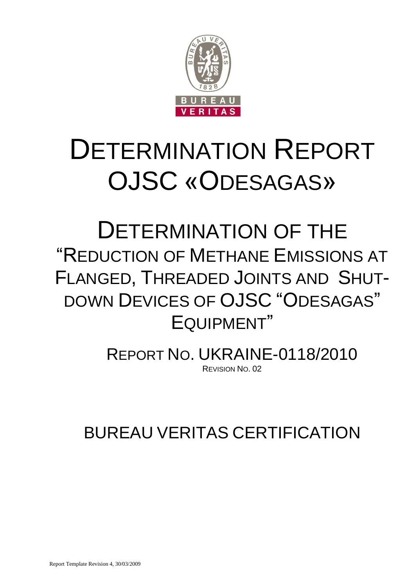

# DETERMINATION REPORT OJSC «ODESAGAS»

# DETERMINATION OF THE "REDUCTION OF METHANE EMISSIONS AT FLANGED, THREADED JOINTS AND SHUT-DOWN DEVICES OF OJSC "ODESAGAS" EQUIPMENT"

REPORT NO. UKRAINE-0118/2010 REVISION NO. 02

BUREAU VERITAS CERTIFICATION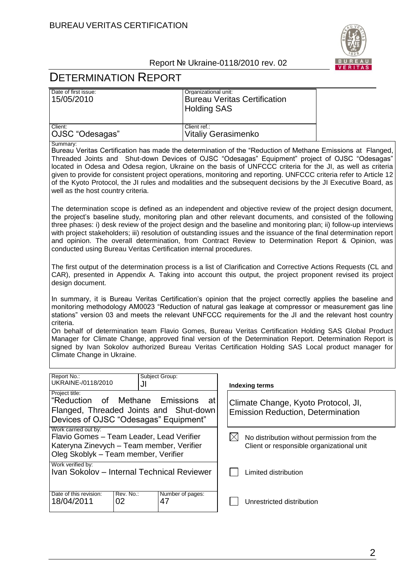

# DETERMINATION REPORT

| Date of first issue:<br>15/05/2010                                                                                                                                                                                                                                                                                                                                                                                                                                                                                                                                                                                                              | Organizational unit: | <b>Bureau Veritas Certification</b>                                                                     |  |
|-------------------------------------------------------------------------------------------------------------------------------------------------------------------------------------------------------------------------------------------------------------------------------------------------------------------------------------------------------------------------------------------------------------------------------------------------------------------------------------------------------------------------------------------------------------------------------------------------------------------------------------------------|----------------------|---------------------------------------------------------------------------------------------------------|--|
|                                                                                                                                                                                                                                                                                                                                                                                                                                                                                                                                                                                                                                                 | <b>Holding SAS</b>   |                                                                                                         |  |
| Client:<br>OJSC "Odesagas"                                                                                                                                                                                                                                                                                                                                                                                                                                                                                                                                                                                                                      | Client ref.:         | <b>Vitaliy Gerasimenko</b>                                                                              |  |
| Summary:<br>Bureau Veritas Certification has made the determination of the "Reduction of Methane Emissions at Flanged,<br>Threaded Joints and Shut-down Devices of OJSC "Odesagas" Equipment" project of OJSC "Odesagas"<br>located in Odesa and Odesa region, Ukraine on the basis of UNFCCC criteria for the JI, as well as criteria<br>given to provide for consistent project operations, monitoring and reporting. UNFCCC criteria refer to Article 12<br>of the Kyoto Protocol, the JI rules and modalities and the subsequent decisions by the JI Executive Board, as<br>well as the host country criteria.                              |                      |                                                                                                         |  |
| The determination scope is defined as an independent and objective review of the project design document,<br>the project's baseline study, monitoring plan and other relevant documents, and consisted of the following<br>three phases: i) desk review of the project design and the baseline and monitoring plan; ii) follow-up interviews<br>with project stakeholders; iii) resolution of outstanding issues and the issuance of the final determination report<br>and opinion. The overall determination, from Contract Review to Determination Report & Opinion, was<br>conducted using Bureau Veritas Certification internal procedures. |                      |                                                                                                         |  |
| The first output of the determination process is a list of Clarification and Corrective Actions Requests (CL and<br>CAR), presented in Appendix A. Taking into account this output, the project proponent revised its project<br>design document.                                                                                                                                                                                                                                                                                                                                                                                               |                      |                                                                                                         |  |
| In summary, it is Bureau Veritas Certification's opinion that the project correctly applies the baseline and<br>monitoring methodology AM0023 "Reduction of natural gas leakage at compressor or measurement gas line<br>stations" version 03 and meets the relevant UNFCCC requirements for the JI and the relevant host country                                                                                                                                                                                                                                                                                                               |                      |                                                                                                         |  |
| criteria.<br>On behalf of determination team Flavio Gomes, Bureau Veritas Certification Holding SAS Global Product<br>Manager for Climate Change, approved final version of the Determination Report. Determination Report is<br>signed by Ivan Sokolov authorized Bureau Veritas Certification Holding SAS Local product manager for<br>Climate Change in Ukraine.                                                                                                                                                                                                                                                                             |                      |                                                                                                         |  |
| Report No.:<br>Subject Group:<br>UKRAINE-/0118/2010<br>JI                                                                                                                                                                                                                                                                                                                                                                                                                                                                                                                                                                                       |                      | <b>Indexing terms</b>                                                                                   |  |
| Project title:<br>"Reduction<br>Emissions<br>0f<br>Methane<br>Flanged, Threaded Joints and Shut-down<br>Devices of OJSC "Odesagas" Equipment"                                                                                                                                                                                                                                                                                                                                                                                                                                                                                                   | at                   | Climate Change, Kyoto Protocol, Jl,<br><b>Emission Reduction, Determination</b>                         |  |
| Work carried out by:<br>Flavio Gomes - Team Leader, Lead Verifier<br>Kateryna Zinevych - Team member, Verifier<br>Oleg Skoblyk – Team member, Verifier                                                                                                                                                                                                                                                                                                                                                                                                                                                                                          |                      | $\boxtimes$<br>No distribution without permission from the<br>Client or responsible organizational unit |  |
| Work verified by:<br>Ivan Sokolov - Internal Technical Reviewer                                                                                                                                                                                                                                                                                                                                                                                                                                                                                                                                                                                 |                      | Limited distribution                                                                                    |  |

| Date of this revision: | Rev. No.: | Number of pages: |
|------------------------|-----------|------------------|
| 18/04/2011             | ിറ        | $\Lambda$        |
|                        |           |                  |

Unrestricted distribution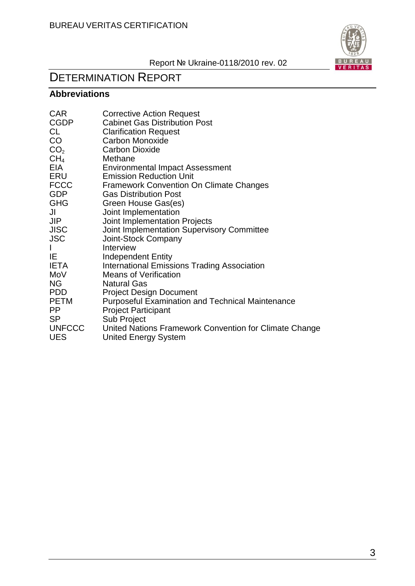

# DETERMINATION REPORT

# **Abbreviations**

| <b>CAR</b>      | <b>Corrective Action Request</b>                        |
|-----------------|---------------------------------------------------------|
| <b>CGDP</b>     | <b>Cabinet Gas Distribution Post</b>                    |
| CL              | <b>Clarification Request</b>                            |
| CO              | Carbon Monoxide                                         |
| CO <sub>2</sub> | <b>Carbon Dioxide</b>                                   |
| CH <sub>4</sub> | Methane                                                 |
| EIA             | Environmental Impact Assessment                         |
| ERU             | <b>Emission Reduction Unit</b>                          |
| <b>FCCC</b>     | <b>Framework Convention On Climate Changes</b>          |
| <b>GDP</b>      | <b>Gas Distribution Post</b>                            |
| <b>GHG</b>      | Green House Gas(es)                                     |
| JI              | Joint Implementation                                    |
| <b>JIP</b>      | Joint Implementation Projects                           |
| <b>JISC</b>     | Joint Implementation Supervisory Committee              |
| <b>JSC</b>      | Joint-Stock Company                                     |
|                 | Interview                                               |
| IE.             | Independent Entity                                      |
| <b>IETA</b>     | <b>International Emissions Trading Association</b>      |
| MoV             | <b>Means of Verification</b>                            |
| <b>NG</b>       | <b>Natural Gas</b>                                      |
| <b>PDD</b>      | <b>Project Design Document</b>                          |
| <b>PETM</b>     | <b>Purposeful Examination and Technical Maintenance</b> |
| PP              | <b>Project Participant</b>                              |
| <b>SP</b>       | Sub Project                                             |
| <b>UNFCCC</b>   | United Nations Framework Convention for Climate Change  |
| <b>UES</b>      | <b>United Energy System</b>                             |
|                 |                                                         |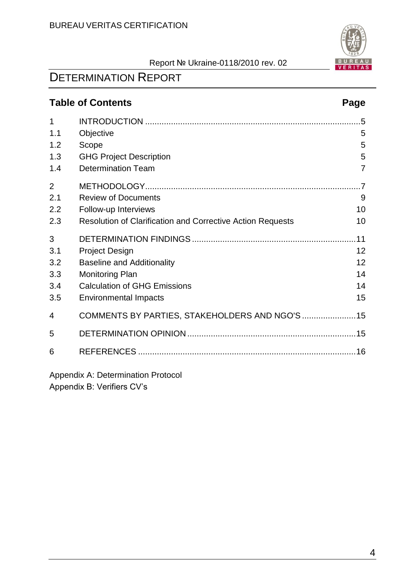

# **Table of Contents Page**

| 1              |                                                            | .5  |
|----------------|------------------------------------------------------------|-----|
| 1.1            | Objective                                                  | 5   |
| 1.2            | Scope                                                      | 5   |
| 1.3            | <b>GHG Project Description</b>                             | 5   |
| 1.4            | <b>Determination Team</b>                                  | 7   |
| $\overline{2}$ |                                                            | 7   |
| 2.1            | <b>Review of Documents</b>                                 | 9   |
| 2.2            | Follow-up Interviews                                       | 10  |
| 2.3            | Resolution of Clarification and Corrective Action Requests | 10  |
| 3              |                                                            | .11 |
| 3.1            | <b>Project Design</b>                                      | 12  |
| 3.2            | <b>Baseline and Additionality</b>                          | 12  |
| 3.3            | <b>Monitoring Plan</b>                                     | 14  |
| 3.4            | <b>Calculation of GHG Emissions</b>                        | 14  |
| 3.5            | <b>Environmental Impacts</b>                               | 15  |
| 4              |                                                            |     |
| 5              |                                                            |     |
| 6              |                                                            |     |
|                |                                                            |     |

Appendix A: Determination Protocol Appendix B: Verifiers CV"s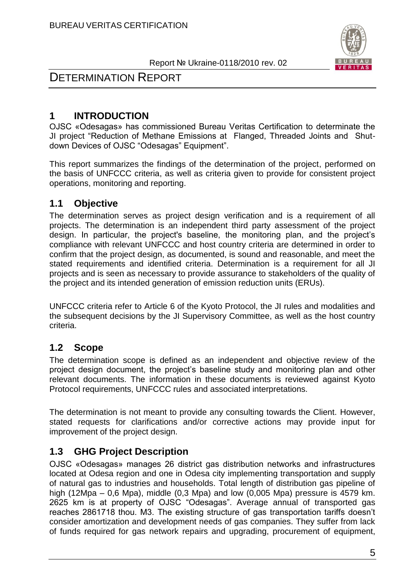

# DETERMINATION REPORT

# **1 INTRODUCTION**

OJSC «Odesagas» has commissioned Bureau Veritas Certification to determinate the JI project "Reduction of Methane Emissions at Flanged, Threaded Joints and Shutdown Devices of OJSC "Odesagas" Equipment".

This report summarizes the findings of the determination of the project, performed on the basis of UNFCCC criteria, as well as criteria given to provide for consistent project operations, monitoring and reporting.

# **1.1 Objective**

The determination serves as project design verification and is a requirement of all projects. The determination is an independent third party assessment of the project design. In particular, the project's baseline, the monitoring plan, and the project"s compliance with relevant UNFCCC and host country criteria are determined in order to confirm that the project design, as documented, is sound and reasonable, and meet the stated requirements and identified criteria. Determination is a requirement for all JI projects and is seen as necessary to provide assurance to stakeholders of the quality of the project and its intended generation of emission reduction units (ERUs).

UNFCCC criteria refer to Article 6 of the Kyoto Protocol, the JI rules and modalities and the subsequent decisions by the JI Supervisory Committee, as well as the host country criteria.

# **1.2 Scope**

The determination scope is defined as an independent and objective review of the project design document, the project"s baseline study and monitoring plan and other relevant documents. The information in these documents is reviewed against Kyoto Protocol requirements, UNFCCC rules and associated interpretations.

The determination is not meant to provide any consulting towards the Client. However, stated requests for clarifications and/or corrective actions may provide input for improvement of the project design.

# **1.3 GHG Project Description**

OJSC «Odesagas» manages 26 district gas distribution networks and infrastructures located at Odesa region and one in Odesa city implementing transportation and supply of natural gas to industries and households. Total length of distribution gas pipeline of high (12Mpa – 0,6 Mpa), middle (0,3 Mpa) and low (0,005 Mpa) pressure is 4579 km. 2625 km is at property of OJSC "Odesagas". Average annual of transported gas reaches 2861718 thou. M3. The existing structure of gas transportation tariffs doesn"t consider amortization and development needs of gas companies. They suffer from lack of funds required for gas network repairs and upgrading, procurement of equipment,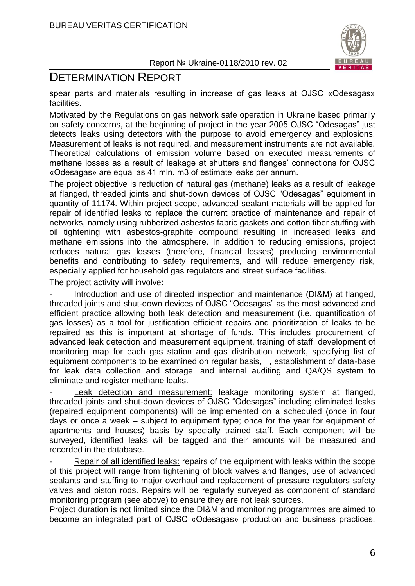

# DETERMINATION REPORT

spear parts and materials resulting in increase of gas leaks at OJSC «Odesagas» facilities.

Motivated by the Regulations on gas network safe operation in Ukraine based primarily on safety concerns, at the beginning of project in the year 2005 OJSC "Odesagas" just detects leaks using detectors with the purpose to avoid emergency and explosions. Measurement of leaks is not required, and measurement instruments are not available. Theoretical calculations of emission volume based on executed measurements of methane losses as a result of leakage at shutters and flanges' connections for OJSC «Odesagas» are equal as 41 mln. m3 of estimate leaks per annum.

The project objective is reduction of natural gas (methane) leaks as a result of leakage at flanged, threaded joints and shut-down devices of OJSC "Odesagas" equipment in quantity of 11174. Within project scope, advanced sealant materials will be applied for repair of identified leaks to replace the current practice of maintenance and repair of networks, namely using rubberized asbestos fabric gaskets and cotton fiber stuffing with oil tightening with asbestos-graphite compound resulting in increased leaks and methane emissions into the atmosphere. In addition to reducing emissions, project reduces natural gas losses (therefore, financial losses) producing environmental benefits and contributing to safety requirements, and will reduce emergency risk, especially applied for household gas regulators and street surface facilities.

The project activity will involve:

Introduction and use of directed inspection and maintenance (DI&M) at flanged, threaded joints and shut-down devices of OJSC "Odesagas" as the most advanced and efficient practice allowing both leak detection and measurement (i.e. quantification of gas losses) as a tool for justification efficient repairs and prioritization of leaks to be repaired as this is important at shortage of funds. This includes procurement of advanced leak detection and measurement equipment, training of staff, development of monitoring map for each gas station and gas distribution network, specifying list of equipment components to be examined on regular basis, , establishment of data-base for leak data collection and storage, and internal auditing and QA/QS system to eliminate and register methane leaks.

Leak detection and measurement: leakage monitoring system at flanged, threaded joints and shut-down devices of OJSC "Odesagas" including eliminated leaks (repaired equipment components) will be implemented on a scheduled (once in four days or once a week – subject to equipment type; once for the year for equipment of apartments and houses) basis by specially trained staff. Each component will be surveyed, identified leaks will be tagged and their amounts will be measured and recorded in the database.

Repair of all identified leaks: repairs of the equipment with leaks within the scope of this project will range from tightening of block valves and flanges, use of advanced sealants and stuffing to major overhaul and replacement of pressure regulators safety valves and piston rods. Repairs will be regularly surveyed as component of standard monitoring program (see above) to ensure they are not leak sources.

Project duration is not limited since the DI&M and monitoring programmes are aimed to become an integrated part of OJSC «Odesagas» production and business practices.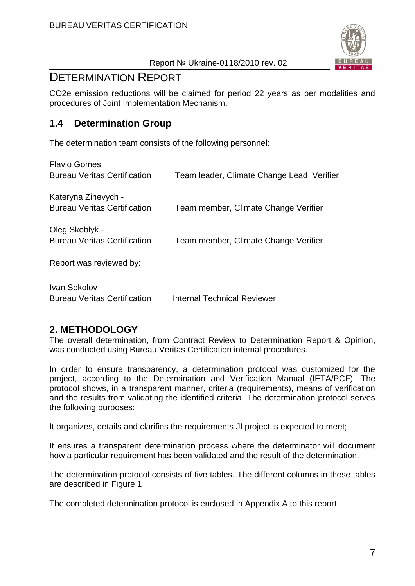

# DETERMINATION REPORT

CO2e emission reductions will be claimed for period 22 years as per modalities and procedures of Joint Implementation Mechanism.

# **1.4 Determination Group**

The determination team consists of the following personnel:

| <b>Flavio Gomes</b><br><b>Bureau Veritas Certification</b> | Team leader, Climate Change Lead Verifier |
|------------------------------------------------------------|-------------------------------------------|
| Kateryna Zinevych -<br><b>Bureau Veritas Certification</b> | Team member, Climate Change Verifier      |
| Oleg Skoblyk -<br><b>Bureau Veritas Certification</b>      | Team member, Climate Change Verifier      |
| Report was reviewed by:                                    |                                           |
| Ivan Sokolov<br><b>Bureau Veritas Certification</b>        | Internal Technical Reviewer               |

# **2. METHODOLOGY**

The overall determination, from Contract Review to Determination Report & Opinion, was conducted using Bureau Veritas Certification internal procedures.

In order to ensure transparency, a determination protocol was customized for the project, according to the Determination and Verification Manual (IETA/PCF). The protocol shows, in a transparent manner, criteria (requirements), means of verification and the results from validating the identified criteria. The determination protocol serves the following purposes:

It organizes, details and clarifies the requirements JI project is expected to meet;

It ensures a transparent determination process where the determinator will document how a particular requirement has been validated and the result of the determination.

The determination protocol consists of five tables. The different columns in these tables are described in Figure 1

The completed determination protocol is enclosed in Appendix A to this report.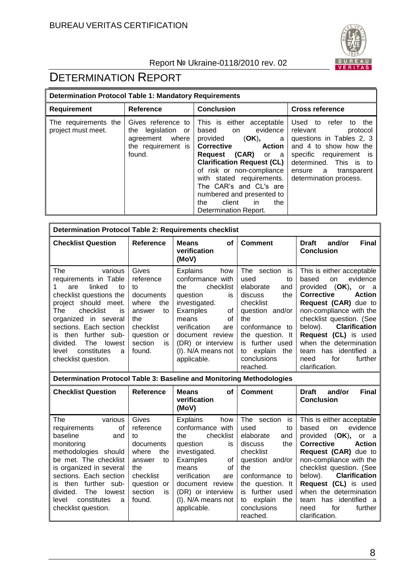

# DETERMINATION REPORT

| <b>Determination Protocol Table 1: Mandatory Requirements</b> |                                                                                                |                                                                                                                                                                                                                                                                                                                                                         |                                                                                                                                                                                                                         |  |  |  |  |
|---------------------------------------------------------------|------------------------------------------------------------------------------------------------|---------------------------------------------------------------------------------------------------------------------------------------------------------------------------------------------------------------------------------------------------------------------------------------------------------------------------------------------------------|-------------------------------------------------------------------------------------------------------------------------------------------------------------------------------------------------------------------------|--|--|--|--|
| Requirement                                                   | <b>Reference</b>                                                                               | <b>Conclusion</b>                                                                                                                                                                                                                                                                                                                                       | <b>Cross reference</b>                                                                                                                                                                                                  |  |  |  |  |
| The requirements the<br>project must meet.                    | Gives reference to<br>legislation or<br>the<br>agreement where<br>the requirement is<br>found. | This is either<br>acceptable<br>evidence<br>based<br>on<br>provided (OK),<br>a<br>Corrective<br><b>Action</b><br>(CAR)<br>Reguest<br>or a<br><b>Clarification Request (CL)</b><br>of risk or non-compliance<br>with stated requirements.<br>The CAR's and CL's are<br>numbered and presented to<br>client<br>the<br>the<br>in.<br>Determination Report. | Used to<br>refer<br>the<br>to<br>relevant<br>protocol<br>questions in Tables 2, 3<br>and 4 to show how the<br>specific<br>requirement is<br>determined. This is to<br>transparent<br>ensure a<br>determination process. |  |  |  |  |

| <b>Determination Protocol Table 2: Requirements checklist</b>                                                                                                                                                                                                                                             |                                                                                                                                     |                                                                                                                                                                                                                                        |                                                                                                                                                                                                                       |                                                                                                                                                                                                                                                                                                                                                                     |  |
|-----------------------------------------------------------------------------------------------------------------------------------------------------------------------------------------------------------------------------------------------------------------------------------------------------------|-------------------------------------------------------------------------------------------------------------------------------------|----------------------------------------------------------------------------------------------------------------------------------------------------------------------------------------------------------------------------------------|-----------------------------------------------------------------------------------------------------------------------------------------------------------------------------------------------------------------------|---------------------------------------------------------------------------------------------------------------------------------------------------------------------------------------------------------------------------------------------------------------------------------------------------------------------------------------------------------------------|--|
| <b>Checklist Question</b>                                                                                                                                                                                                                                                                                 | <b>Reference</b>                                                                                                                    | <b>Means</b><br><b>of</b><br>verification<br>(MoV)                                                                                                                                                                                     | <b>Comment</b>                                                                                                                                                                                                        | <b>Final</b><br>and/or<br><b>Draft</b><br><b>Conclusion</b>                                                                                                                                                                                                                                                                                                         |  |
| The<br>various<br>requirements in Table<br>linked<br>to<br>are<br>checklist questions the<br>project should meet.<br>checklist<br>The<br>is<br>organized in several<br>sections. Each section<br>further sub-<br>is then<br>divided.<br>lowest<br>The<br>constitutes<br>level<br>a<br>checklist question. | Gives<br>reference<br>to<br>documents<br>where<br>the<br>to<br>answer<br>the<br>checklist<br>question or<br>section<br>is<br>found. | <b>Explains</b><br>how<br>conformance with<br>checklist<br>the<br>question<br>is<br>investigated.<br>Examples<br>οf<br>οf<br>means<br>verification<br>are<br>document review<br>(DR) or interview<br>(I). N/A means not<br>applicable. | The section<br>is<br>used<br>to<br>elaborate<br>and<br>the<br>discuss<br>checklist<br>question and/or<br>the<br>conformance to<br>the question. It<br>is further used<br>to explain<br>the<br>conclusions<br>reached. | This is either acceptable<br>evidence<br>based<br>on<br>provided $(OK)$ ,<br>or a<br><b>Corrective</b><br><b>Action</b><br>Request (CAR) due to<br>non-compliance with the<br>checklist question. (See<br><b>Clarification</b><br>below).<br>Request (CL) is used<br>when the determination<br>has identified a<br>team<br>further<br>for<br>need<br>clarification. |  |
| Determination Protocol Table 2: Rasoline and Monitoring Methodologies                                                                                                                                                                                                                                     |                                                                                                                                     |                                                                                                                                                                                                                                        |                                                                                                                                                                                                                       |                                                                                                                                                                                                                                                                                                                                                                     |  |

**Determination Protocol Table 3: Baseline and Monitoring Methodologies** 

| <b>Checklist Question</b> | Reference     | <b>Means</b><br>οf<br>verification<br>(MoV) | <b>Comment</b>       | <b>Final</b><br>and/or<br><b>Draft</b><br><b>Conclusion</b> |
|---------------------------|---------------|---------------------------------------------|----------------------|-------------------------------------------------------------|
| The<br>various            | Gives         | <b>Explains</b><br>how                      | The section<br>İS    | This is either acceptable                                   |
| οf<br>requirements        | reference     | conformance with                            | used<br>to           | evidence<br>based<br>on.                                    |
| baseline<br>and           | to            | checklist<br>the                            | elaborate<br>and     | provided<br>(OK),<br>or a                                   |
| monitoring                | documents     | question<br>is                              | the<br>discuss       | Corrective<br><b>Action</b>                                 |
| methodologies should      | where<br>the  | investigated.                               | checklist            | Request (CAR) due to                                        |
| be met. The checklist     | answer<br>to  | of<br>Examples                              | and/or<br>auestion   | non-compliance with the                                     |
| is organized in several   | the           | οf<br>means                                 | the                  | checklist question. (See                                    |
| sections. Each section    | checklist     | verification<br>are                         | conformance<br>to    | <b>Clarification</b><br>below).                             |
| further sub-<br>is then   | question or   | document review                             | the question. It     | Request (CL) is used                                        |
| divided.<br>The<br>lowest | section<br>is | (DR) or interview                           | further used<br>is.  | when the determination                                      |
| constitutes<br>level<br>a | found.        | (I). N/A means not                          | explain<br>the<br>to | has identified a<br>team                                    |
| checklist question.       |               | applicable.                                 | conclusions          | for<br>further<br>need                                      |
|                           |               |                                             | reached.             | clarification.                                              |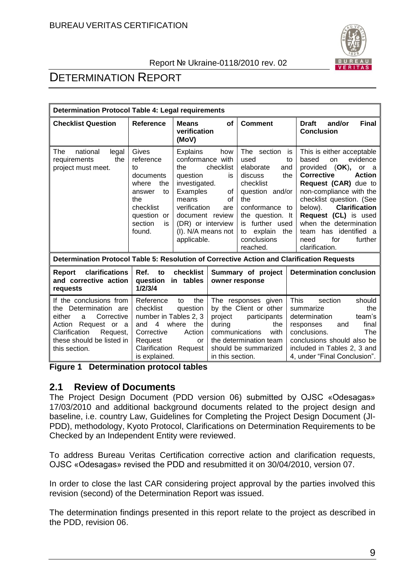

# DETERMINATION REPORT

| <b>Determination Protocol Table 4: Legal requirements</b>                                                                                                                          |                                                                                                                                     |                                                                                                                                                                                                                                                     |                                                         |                                                                                                                                                                                                 |                                                                                                                                                                                                                                                                                                                                                                                     |
|------------------------------------------------------------------------------------------------------------------------------------------------------------------------------------|-------------------------------------------------------------------------------------------------------------------------------------|-----------------------------------------------------------------------------------------------------------------------------------------------------------------------------------------------------------------------------------------------------|---------------------------------------------------------|-------------------------------------------------------------------------------------------------------------------------------------------------------------------------------------------------|-------------------------------------------------------------------------------------------------------------------------------------------------------------------------------------------------------------------------------------------------------------------------------------------------------------------------------------------------------------------------------------|
| <b>Checklist Question</b>                                                                                                                                                          | <b>Reference</b>                                                                                                                    | <b>Means</b><br><b>of</b><br>verification<br>(MoV)                                                                                                                                                                                                  |                                                         | <b>Comment</b>                                                                                                                                                                                  | and/or<br><b>Final</b><br><b>Draft</b><br><b>Conclusion</b>                                                                                                                                                                                                                                                                                                                         |
| national<br>The<br>legal<br>the<br>requirements<br>project must meet.                                                                                                              | Gives<br>reference<br>tο<br>documents<br>the<br>where<br>to<br>answer<br>the<br>checklist<br>question or<br>section<br>is<br>found. | <b>Explains</b><br>how<br>conformance with<br>checklist<br>the<br>question<br>is<br>investigated.<br>Examples<br>οf<br>the<br>means<br>οf<br>verification<br>are<br>document review<br>(DR) or interview<br>(I). N/A means not<br>to<br>applicable. |                                                         | The section<br>used<br>elaborate<br>and<br>the<br>discuss<br>checklist<br>question and/or<br>conformance to<br>the question. It<br>is further used<br>explain<br>the<br>conclusions<br>reached. | This is either acceptable<br>is<br>evidence<br>based<br><b>on</b><br>to<br>provided (OK),<br>or a<br><b>Corrective</b><br><b>Action</b><br>Request (CAR) due to<br>non-compliance with the<br>checklist question. (See<br>below).<br><b>Clarification</b><br>Request (CL) is used<br>when the determination<br>has identified a<br>team<br>for<br>further<br>need<br>clarification. |
| Determination Protocol Table 5: Resolution of Corrective Action and Clarification Requests                                                                                         |                                                                                                                                     |                                                                                                                                                                                                                                                     |                                                         |                                                                                                                                                                                                 |                                                                                                                                                                                                                                                                                                                                                                                     |
| clarifications<br>Report<br>and corrective action<br>requests                                                                                                                      | Ref.<br>to<br>1/2/3/4                                                                                                               | checklist<br><b>Determination conclusion</b><br>Summary of project<br>question in tables<br>owner response                                                                                                                                          |                                                         |                                                                                                                                                                                                 |                                                                                                                                                                                                                                                                                                                                                                                     |
| If the conclusions from<br>the Determination are<br>Corrective<br>either<br>a<br>Action<br>Request or a<br>Clarification<br>Request,<br>these should be listed in<br>this section. | Reference<br>checklist<br>number in Tables 2, 3<br>4<br>and<br>Corrective<br>Request<br>Clarification Request<br>is explained.      | the<br>to<br>question<br>where<br>the<br>Action<br>or                                                                                                                                                                                               | project<br>during<br>communications<br>in this section. | The responses given<br>by the Client or other<br>participants<br>the<br>with<br>the determination team<br>should be summarized                                                                  | <b>This</b><br>section<br>should<br>the<br>summarize<br>team's<br>determination<br>final<br>responses<br>and<br>conclusions.<br>The<br>conclusions should also be<br>included in Tables 2, 3 and<br>4, under "Final Conclusion".                                                                                                                                                    |

**Figure 1 Determination protocol tables**

# **2.1 Review of Documents**

The Project Design Document (PDD version 06) submitted by OJSC «Odesagas» 17/03/2010 and additional background documents related to the project design and baseline, i.e. country Law, Guidelines for Completing the Project Design Document (JI-PDD), methodology, Kyoto Protocol, Clarifications on Determination Requirements to be Checked by an Independent Entity were reviewed.

To address Bureau Veritas Certification corrective action and clarification requests, OJSC «Odesagas» revised the PDD and resubmitted it on 30/04/2010, version 07.

In order to close the last CAR considering project approval by the parties involved this revision (second) of the Determination Report was issued.

The determination findings presented in this report relate to the project as described in the PDD, revision 06.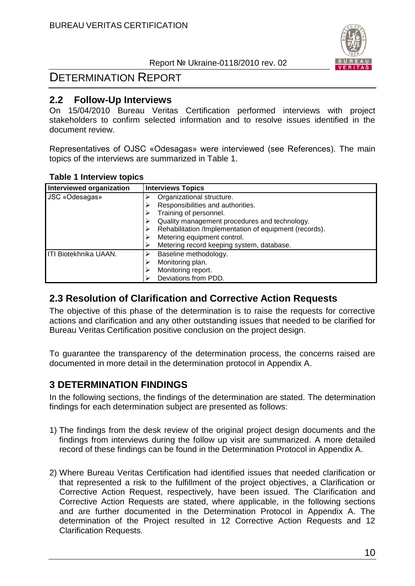

# DETERMINATION REPORT

### **2.2 Follow-Up Interviews**

On 15/04/2010 Bureau Veritas Certification performed interviews with project stakeholders to confirm selected information and to resolve issues identified in the document review.

Representatives of OJSC «Odesagas» were interviewed (see References). The main topics of the interviews are summarized in Table 1.

#### **Table 1 Interview topics**

| Interviewed organization | <b>Interviews Topics</b>                               |  |  |  |  |  |
|--------------------------|--------------------------------------------------------|--|--|--|--|--|
| JSC «Odesagas»           | Organizational structure.                              |  |  |  |  |  |
|                          | Responsibilities and authorities.                      |  |  |  |  |  |
|                          | Training of personnel.                                 |  |  |  |  |  |
|                          | Quality management procedures and technology.          |  |  |  |  |  |
|                          | Rehabilitation /Implementation of equipment (records). |  |  |  |  |  |
|                          | Metering equipment control.                            |  |  |  |  |  |
|                          | Metering record keeping system, database.              |  |  |  |  |  |
| ITI Biotekhnika UAAN.    | Baseline methodology.                                  |  |  |  |  |  |
|                          | Monitoring plan.                                       |  |  |  |  |  |
|                          | Monitoring report.                                     |  |  |  |  |  |
|                          | Deviations from PDD.                                   |  |  |  |  |  |

# **2.3 Resolution of Clarification and Corrective Action Requests**

The objective of this phase of the determination is to raise the requests for corrective actions and clarification and any other outstanding issues that needed to be clarified for Bureau Veritas Certification positive conclusion on the project design.

To guarantee the transparency of the determination process, the concerns raised are documented in more detail in the determination protocol in Appendix A.

# **3 DETERMINATION FINDINGS**

In the following sections, the findings of the determination are stated. The determination findings for each determination subject are presented as follows:

- 1) The findings from the desk review of the original project design documents and the findings from interviews during the follow up visit are summarized. A more detailed record of these findings can be found in the Determination Protocol in Appendix A.
- 2) Where Bureau Veritas Certification had identified issues that needed clarification or that represented a risk to the fulfillment of the project objectives, a Clarification or Corrective Action Request, respectively, have been issued. The Clarification and Corrective Action Requests are stated, where applicable, in the following sections and are further documented in the Determination Protocol in Appendix A. The determination of the Project resulted in 12 Corrective Action Requests and 12 Clarification Requests.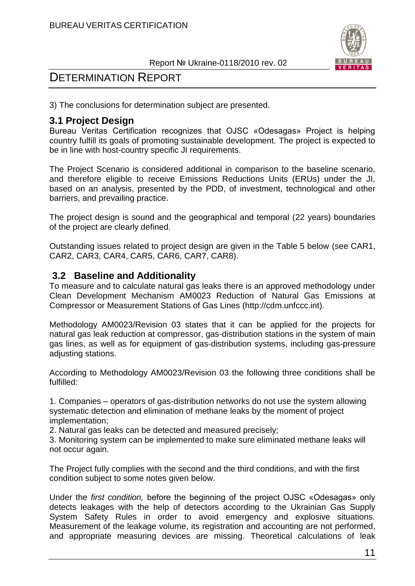



3) The conclusions for determination subject are presented.

# **3.1 Project Design**

Bureau Veritas Certification recognizes that OJSC «Odesagas» Project is helping country fulfill its goals of promoting sustainable development. The project is expected to be in line with host-country specific JI requirements.

The Project Scenario is considered additional in comparison to the baseline scenario, and therefore eligible to receive Emissions Reductions Units (ERUs) under the JI, based on an analysis, presented by the PDD, of investment, technological and other barriers, and prevailing practice.

The project design is sound and the geographical and temporal (22 years) boundaries of the project are clearly defined.

Outstanding issues related to project design are given in the Table 5 below (see CAR1, CAR2, CAR3, CAR4, CAR5, CAR6, CAR7, CAR8).

# **3.2 Baseline and Additionality**

To measure and to calculate natural gas leaks there is an approved methodology under Clean Development Mechanism AM0023 Reduction of Natural Gas Emissions at Compressor or Measurement Stations of Gas Lines (http://cdm.unfccc.int).

Methodology AM0023/Revision 03 states that it can be applied for the projects for natural gas leak reduction at compressor, gas-distribution stations in the system of main gas lines, as well as for equipment of gas-distribution systems, including gas-pressure adjusting stations.

According to Methodology AM0023/Revision 03 the following three conditions shall be fulfilled:

1. Companies – operators of gas-distribution networks do not use the system allowing systematic detection and elimination of methane leaks by the moment of project implementation;

2. Natural gas leaks can be detected and measured precisely;

3. Monitoring system can be implemented to make sure eliminated methane leaks will not occur again.

The Project fully complies with the second and the third conditions, and with the first condition subject to some notes given below.

Under the *first condition,* before the beginning of the project OJSC «Odesagas» only detects leakages with the help of detectors according to the Ukrainian Gas Supply System Safety Rules in order to avoid emergency and explosive situations. Measurement of the leakage volume, its registration and accounting are not performed, and appropriate measuring devices are missing. Theoretical calculations of leak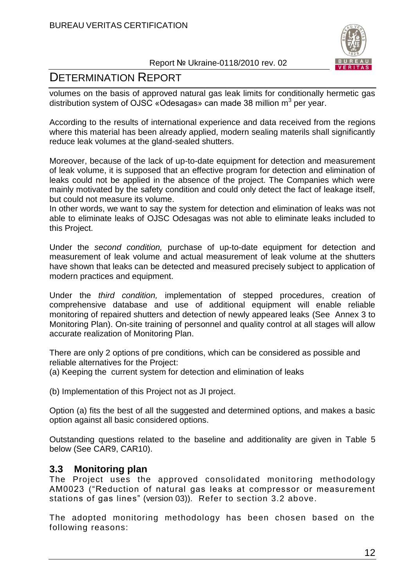

# DETERMINATION REPORT

volumes on the basis of approved natural gas leak limits for conditionally hermetic gas distribution system of OJSC «Odesagas» can made 38 million m<sup>3</sup> per year.

According to the results of international experience and data received from the regions where this material has been already applied, modern sealing materils shall significantly reduce leak volumes at the gland-sealed shutters.

Moreover, because of the lack of up-to-date equipment for detection and measurement of leak volume, it is supposed that an effective program for detection and elimination of leaks could not be applied in the absence of the project. The Companies which were mainly motivated by the safety condition and could only detect the fact of leakage itself, but could not measure its volume.

In other words, we want to say the system for detection and elimination of leaks was not able to eliminate leaks of OJSC Odesagas was not able to eliminate leaks included to this Project.

Under the *second condition,* purchase of up-to-date equipment for detection and measurement of leak volume and actual measurement of leak volume at the shutters have shown that leaks can be detected and measured precisely subject to application of modern practices and equipment.

Under the *third condition,* implementation of stepped procedures, creation of comprehensive database and use of additional equipment will enable reliable monitoring of repaired shutters and detection of newly appeared leaks (See Annex 3 to Monitoring Plan). On-site training of personnel and quality control at all stages will allow accurate realization of Monitoring Plan.

There are only 2 options of pre conditions, which can be considered as possible and reliable alternatives for the Project:

(a) Keeping the current system for detection and elimination of leaks

(b) Implementation of this Project not as JI project.

Option (a) fits the best of all the suggested and determined options, and makes a basic option against all basic considered options.

Outstanding questions related to the baseline and additionality are given in Table 5 below (See CAR9, CAR10).

# **3.3 Monitoring plan**

The Project uses the approved consolidated monitoring methodology AM0023 ("Reduction of natural gas leaks at compressor or measurement stations of gas lines" (version 03)). Refer to section 3.2 above.

The adopted monitoring methodology has been chosen based on the following reasons: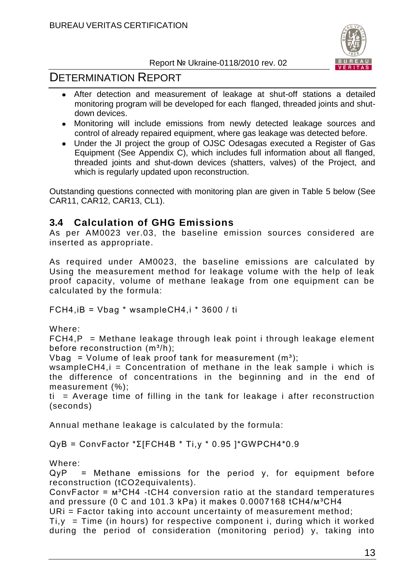

# DETERMINATION REPORT

- After detection and measurement of leakage at shut-off stations a detailed monitoring program will be developed for each flanged, threaded joints and shutdown devices.
- Monitoring will include emissions from newly detected leakage sources and control of already repaired equipment, where gas leakage was detected before.
- Under the JI project the group of OJSC Odesagas executed a Register of Gas Equipment (See Appendix C), which includes full information about all flanged, threaded joints and shut-down devices (shatters, valves) of the Project, and which is regularly updated upon reconstruction.

Outstanding questions connected with monitoring plan are given in Table 5 below (See CAR11, CAR12, CAR13, CL1).

# **3.4 Calculation of GHG Emissions**

As per AM0023 ver.03, the baseline emission sources considered are inserted as appropriate.

As required under AM0023, the baseline emissions are calculated by Using the measurement method for leakage volume with the help of leak proof capacity, volume of methane leakage from one equipment can be calculated by the formula:

FCH4,iВ = Vbag \* wsampleCH4,i \* 3600 / tі

Where:

 $FCH4, P = Methane$  leakage through leak point i through leakage element before reconstruction  $(m^3/h)$ ;

Vbag = Volume of leak proof tank for measurement  $(m^3)$ ;

wsampleCH4, $i =$  Concentration of methane in the leak sample  $i$  which is the difference of concentrations in the beginning and in the end of measurement (%);

 $ti$  = Average time of filling in the tank for leakage i after reconstruction (seconds)

Annual methane leakage is calculated by the formula:

QуВ = ConvFactor \*Σ[FСН4В \* Ti,y \* 0.95 ]\*GWPСН4\*0.9

Where:

 $QyP =$  Methane emissions for the period y, for equipment before reconstruction (tCO2equivalents).

ConvFactor =  $M^3CH4$  -tCH4 conversion ratio at the standard temperatures and pressure (0 C and 101.3 kPa) it makes  $0.0007168$  tCH4/ $m^3CH4$ 

URi = Factor taking into account uncertainty of measurement method;

 $Ti, y = Time$  (in hours) for respective component i, during which it worked during the period of consideration (monitoring period) y, taking into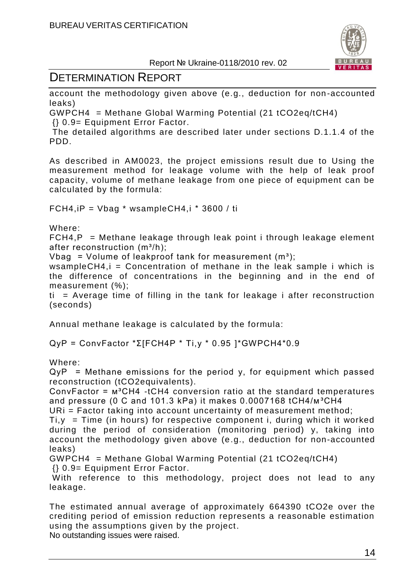

# DETERMINATION REPORT

account the methodology given above (e.g., deduction for non -accounted leaks)

GWPCH4 = Methane Global Warming Potential (21 tCO2eq/tCH4) {} 0.9= Equipment Error Factor.

The detailed algorithms are described later under sections D.1.1.4 of the PDD.

As described in AM0023, the project emissions result due to Using the measurement method for leakage volume with the help of leak proof capacity, volume of methane leakage from one piece of equipment can be calculated by the formula:

FCH4, $iP = V$ bag \* wsampleCH4, $i$  \* 3600 / ti

Where:

 $FCH4, P = Methane$  leakage through leak point i through leakage element after reconstruction  $(m^3/h)$ ;

Vbag = Volume of leakproof tank for measurement  $(m<sup>3</sup>)$ ;

wsampleCH4, $i =$  Concentration of methane in the leak sample  $i$  which is the difference of concentrations in the beginning and in the end of measurement (%);

 $ti$  = Average time of filling in the tank for leakage i after reconstruction (seconds)

Annual methane leakage is calculated by the formula:

QуР = ConvFactor \*Σ[FСН4Р \* Ti,y \* 0.95 ]\*GWPСН4\*0.9

Where:

 $QyP =$  Methane emissions for the period y, for equipment which passed reconstruction (tCO2equivalents).

ConvFactor =  $M^3CH4$  -tCH4 conversion ratio at the standard temperatures and pressure (0 C and 101.3 kPa) it makes  $0.0007168$  tCH4/ $m^3CH4$ 

URi = Factor taking into account uncertainty of measurement method;

 $Ti, y = Time$  (in hours) for respective component i, during which it worked during the period of consideration (monitoring period) y, taking into account the methodology given above (e.g., deduction for non-accounted leaks)

GWPCH4 = Methane Global Warming Potential (21 tCO2eq/tCH4)

{} 0.9= Equipment Error Factor.

With reference to this methodology, project does not lead to any leakage.

The estimated annual average of approximately 664390 tCO2e over the crediting period of emission reduction represents a reasonable estimation using the assumptions given by the project. No outstanding issues were raised.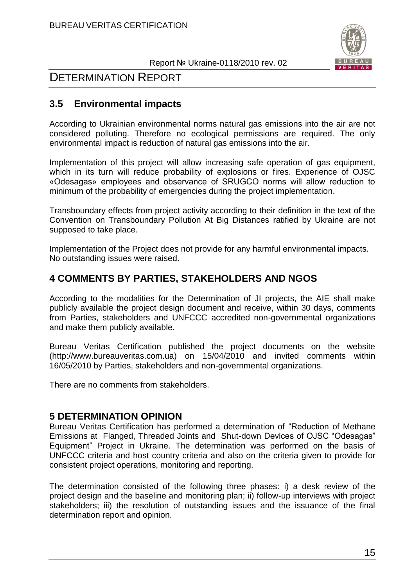

# **3.5 Environmental impacts**

According to Ukrainian environmental norms natural gas emissions into the air are not considered polluting. Therefore no ecological permissions are required. The only environmental impact is reduction of natural gas emissions into the air.

Implementation of this project will allow increasing safe operation of gas equipment, which in its turn will reduce probability of explosions or fires. Experience of OJSC «Odesagas» employees and observance of SRUGCO norms will allow reduction to minimum of the probability of emergencies during the project implementation.

Transboundary effects from project activity according to their definition in the text of the Convention on Transboundary Pollution At Big Distances ratified by Ukraine are not supposed to take place.

Implementation of the Project does not provide for any harmful environmental impacts. No outstanding issues were raised.

# **4 COMMENTS BY PARTIES, STAKEHOLDERS AND NGOS**

According to the modalities for the Determination of JI projects, the AIE shall make publicly available the project design document and receive, within 30 days, comments from Parties, stakeholders and UNFCCC accredited non-governmental organizations and make them publicly available.

Bureau Veritas Certification published the project documents on the website (http://www.bureauveritas.com.ua) on 15/04/2010 and invited comments within 16/05/2010 by Parties, stakeholders and non-governmental organizations.

There are no comments from stakeholders.

# **5 DETERMINATION OPINION**

Bureau Veritas Certification has performed a determination of "Reduction of Methane Emissions at Flanged, Threaded Joints and Shut-down Devices of OJSC "Odesagas" Equipment" Project in Ukraine. The determination was performed on the basis of UNFCCC criteria and host country criteria and also on the criteria given to provide for consistent project operations, monitoring and reporting.

The determination consisted of the following three phases: i) a desk review of the project design and the baseline and monitoring plan; ii) follow-up interviews with project stakeholders; iii) the resolution of outstanding issues and the issuance of the final determination report and opinion.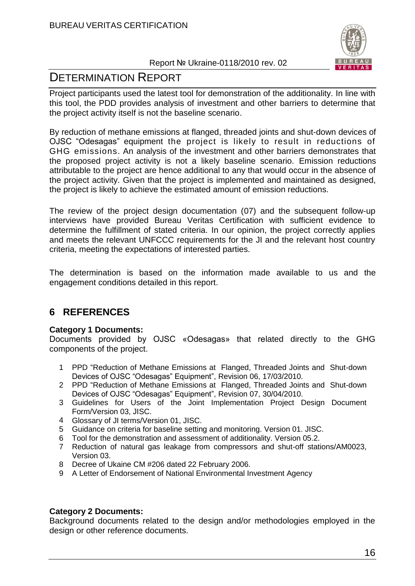

# DETERMINATION REPORT

Project participants used the latest tool for demonstration of the additionality. In line with this tool, the PDD provides analysis of investment and other barriers to determine that the project activity itself is not the baseline scenario.

By reduction of methane emissions at flanged, threaded joints and shut-down devices of OJSC "Odesagas" equipment the project is likely to result in reductions of GHG emissions. An analysis of the investment and other barriers demonstrates that the proposed project activity is not a likely baseline scenario. Emission reductions attributable to the project are hence additional to any that would occur in the absence of the project activity. Given that the project is implemented and maintained as designed, the project is likely to achieve the estimated amount of emission reductions.

The review of the project design documentation (07) and the subsequent follow-up interviews have provided Bureau Veritas Certification with sufficient evidence to determine the fulfillment of stated criteria. In our opinion, the project correctly applies and meets the relevant UNFCCC requirements for the JI and the relevant host country criteria, meeting the expectations of interested parties.

The determination is based on the information made available to us and the engagement conditions detailed in this report.

# **6 REFERENCES**

#### **Category 1 Documents:**

Documents provided by OJSC «Odesagas» that related directly to the GHG components of the project.

- 1 PPD "Reduction of Methane Emissions at Flanged, Threaded Joints and Shut-down Devices of OJSC "Odesagas" Equipment", Revision 06, 17/03/2010.
- 2 PPD "Reduction of Methane Emissions at Flanged, Threaded Joints and Shut-down Devices of OJSC "Odesagas" Equipment", Revision 07, 30/04/2010.
- 3 Guidelines for Users of the Joint Implementation Project Design Document Form/Version 03, JISC.
- 4 Glossary of JI terms/Version 01, JISC.
- 5 Guidance on criteria for baseline setting and monitoring. Version 01. JISC.
- 6 Tool for the demonstration and assessment of additionality. Version 05.2.
- 7 Reduction of natural gas leakage from compressors and shut-off stations/AM0023, Version 03.
- 8 Decree of Ukaine CM #206 dated 22 February 2006.
- 9 A Letter of Endorsement of National Environmental Investment Agency

#### **Category 2 Documents:**

Background documents related to the design and/or methodologies employed in the design or other reference documents.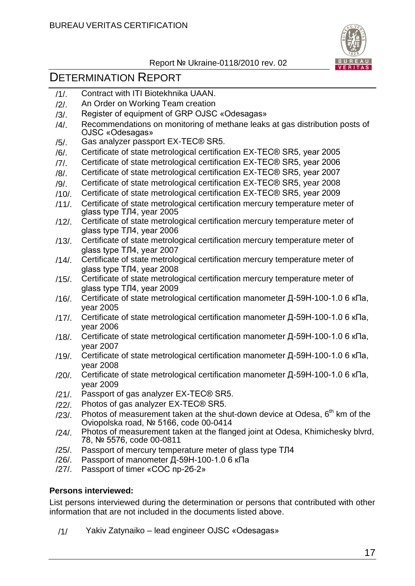

# DETERMINATION REPORT

- /1/. Contract with ITI Biotekhnika UAAN.
- /2/. An Order on Working Team creation
- /3/. Register of equipment of GRP OJSC «Odesagas»
- /4/. Recommendations on monitoring of methane leaks at gas distribution posts of OJSC «Odesagas»
- /5/. Gas analyzer passport EX-TEC® SR5.
- /6/. Certificate of state metrological certification EX-TEC® SR5, year 2005
- /7/. Certificate of state metrological certification EX-TEC® SR5, year 2006
- /8/. Certificate of state metrological certification EX-TEC® SR5, year 2007
- /9/. Certificate of state metrological certification EX-TEC® SR5, year 2008
- /10/. Certificate of state metrological certification EX-TEC® SR5, year 2009
- /11/. Certificate of state metrological certification mercury temperature meter of glass type ТЛ4, year 2005
- /12/. Certificate of state metrological certification mercury temperature meter of glass type ТЛ4, year 2006
- /13/. Certificate of state metrological certification mercury temperature meter of glass type ТЛ4, year 2007
- /14/. Certificate of state metrological certification mercury temperature meter of glass type ТЛ4, year 2008
- /15/. Certificate of state metrological certification mercury temperature meter of glass type ТЛ4, year 2009
- /16/. Certificate of state metrological certification manometer Д-59Н-100-1.0 6 кПа, year 2005
- /17/. Certificate of state metrological certification manometer Д-59Н-100-1.0 6 кПа, year 2006
- /18/. Certificate of state metrological certification manometer Д-59Н-100-1.0 6 кПа, year 2007
- /19/. Certificate of state metrological certification manometer Д-59Н-100-1.0 6 кПа, year 2008
- /20/. Certificate of state metrological certification manometer Д-59Н-100-1.0 6 кПа, year 2009
- /21/. Passport of gas analyzer EX-TEC® SR5.
- /22/. Photos of gas analyzer EX-TEC® SR5.
- $/23/$ . Photos of measurement taken at the shut-down device at Odesa,  $6<sup>th</sup>$  km of the Oviopolska road, № 5166, code 00-0414
- /24/. Photos of measurement taken at the flanged joint at Odesa, Khimichesky blvrd, 78, № 5576, code 00-0811
- /25/. Passport of mercury temperature meter of glass type ТЛ4
- /26/. Passport of manometer Д-59Н-100-1.0 6 кПа
- /27/. Passport of timer «СОС пр-2б-2»

#### **Persons interviewed:**

List persons interviewed during the determination or persons that contributed with other information that are not included in the documents listed above.

/1/ Yakiv Zatynaiko – lead engineer OJSC «Odesagas»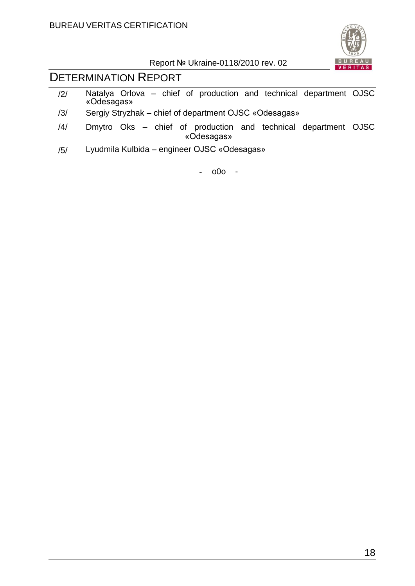

# DETERMINATION REPORT

- /2/ Natalya Orlova chief of production and technical department OJSC «Odesagas»
- /3/ Sergiy Stryzhak chief of department OJSC «Odesagas»
- /4/ Dmytro Oks chief of production and technical department OJSC «Odesagas»
- /5/ Lyudmila Kulbida engineer OJSC «Odesagas»

- o0o -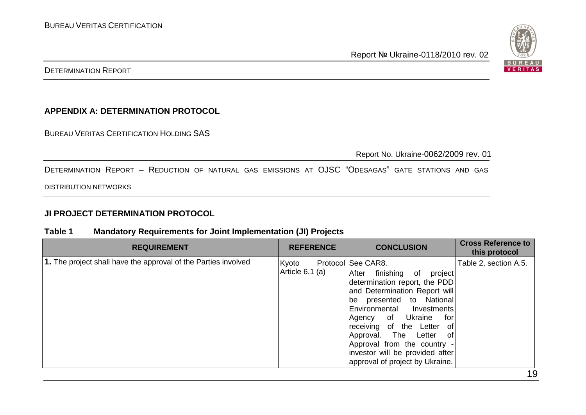

#### **APPENDIX A: DETERMINATION PROTOCOL**

BUREAU VERITAS CERTIFICATION HOLDING SAS

Report No. Ukraine-0062/2009 rev. 01

DETERMINATION REPORT – REDUCTION OF NATURAL GAS EMISSIONS AT OJSC "ODESAGAS" GATE STATIONS AND GAS

DISTRIBUTION NETWORKS

#### **JI PROJECT DETERMINATION PROTOCOL**

#### **Table 1 Mandatory Requirements for Joint Implementation (JI) Projects**

| <b>REQUIREMENT</b>                                             | <b>REFERENCE</b>           | <b>CONCLUSION</b>                                                                                                                                                                                                                                                                                                                                                                 | <b>Cross Reference to</b><br>this protocol |
|----------------------------------------------------------------|----------------------------|-----------------------------------------------------------------------------------------------------------------------------------------------------------------------------------------------------------------------------------------------------------------------------------------------------------------------------------------------------------------------------------|--------------------------------------------|
| 1. The project shall have the approval of the Parties involved | Kyoto<br>Article $6.1$ (a) | Protocol See CAR8.<br>finishing<br>After<br>project<br>of<br>determination report, the PDD<br>and Determination Report will<br>be presented to National<br>Environmental Investments<br>Agency of Ukraine<br>for<br>receiving of the Letter of<br>Approval. The Letter<br>of<br>Approval from the country -<br>investor will be provided after<br>approval of project by Ukraine. | Table 2, section A.5.                      |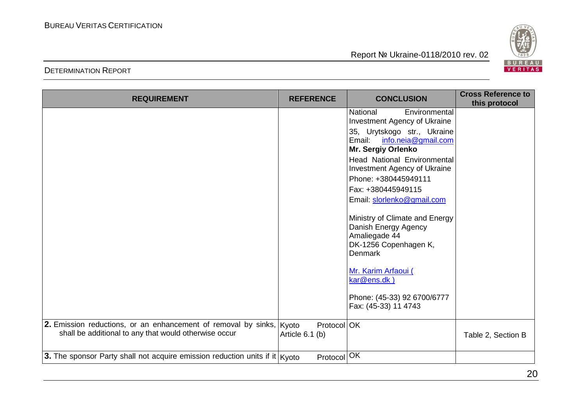

| <b>REQUIREMENT</b>                                                              | <b>REFERENCE</b>  | <b>CONCLUSION</b>                                                | <b>Cross Reference to</b><br>this protocol |
|---------------------------------------------------------------------------------|-------------------|------------------------------------------------------------------|--------------------------------------------|
|                                                                                 |                   | <b>National</b><br>Environmental<br>Investment Agency of Ukraine |                                            |
|                                                                                 |                   | 35, Urytskogo str., Ukraine                                      |                                            |
|                                                                                 |                   | Email:<br>info.neia@gmail.com<br>Mr. Sergiy Orlenko              |                                            |
|                                                                                 |                   | <b>Head National Environmental</b>                               |                                            |
|                                                                                 |                   | Investment Agency of Ukraine<br>Phone: +380445949111             |                                            |
|                                                                                 |                   | Fax: +380445949115                                               |                                            |
|                                                                                 |                   | Email: slorlenko@gmail.com                                       |                                            |
|                                                                                 |                   | Ministry of Climate and Energy                                   |                                            |
|                                                                                 |                   | Danish Energy Agency<br>Amaliegade 44                            |                                            |
|                                                                                 |                   | DK-1256 Copenhagen K,<br>Denmark                                 |                                            |
|                                                                                 |                   |                                                                  |                                            |
|                                                                                 |                   | Mr. Karim Arfaoui (<br>kar@ens.dk)                               |                                            |
|                                                                                 |                   | Phone: (45-33) 92 6700/6777<br>Fax: (45-33) 11 4743              |                                            |
| 2. Emission reductions, or an enhancement of removal by sinks, Kyoto            | Protocol OK       |                                                                  |                                            |
| shall be additional to any that would otherwise occur                           | Article $6.1$ (b) |                                                                  | Table 2, Section B                         |
| 3. The sponsor Party shall not acquire emission reduction units if it $ K$ yoto | Protocol          | OK                                                               |                                            |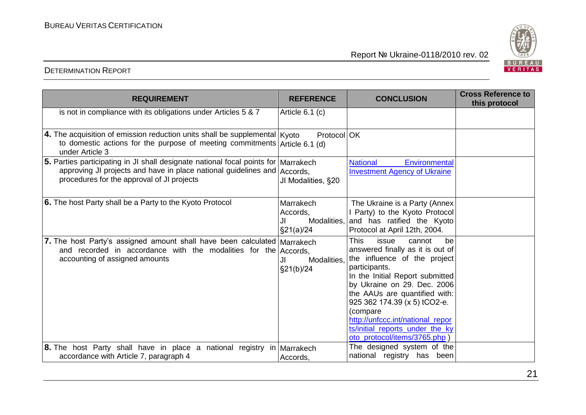

| <b>REQUIREMENT</b>                                                                                                                                                                                             | <b>REFERENCE</b>                                   | <b>CONCLUSION</b>                                                                                                                                                                                                                                                                                                                                                              | <b>Cross Reference to</b><br>this protocol |
|----------------------------------------------------------------------------------------------------------------------------------------------------------------------------------------------------------------|----------------------------------------------------|--------------------------------------------------------------------------------------------------------------------------------------------------------------------------------------------------------------------------------------------------------------------------------------------------------------------------------------------------------------------------------|--------------------------------------------|
| is not in compliance with its obligations under Articles 5 & 7                                                                                                                                                 | Article 6.1 (c)                                    |                                                                                                                                                                                                                                                                                                                                                                                |                                            |
| 4. The acquisition of emission reduction units shall be supplemental   Kyoto<br>to domestic actions for the purpose of meeting commitments $A$ rticle 6.1 (d)<br>under Article 3                               | Protocol OK                                        |                                                                                                                                                                                                                                                                                                                                                                                |                                            |
| 5. Parties participating in JI shall designate national focal points for   Marrakech<br>approving JI projects and have in place national guidelines and Accords,<br>procedures for the approval of JI projects | JI Modalities, §20                                 | <b>National</b><br>Environmental<br><b>Investment Agency of Ukraine</b>                                                                                                                                                                                                                                                                                                        |                                            |
| 6. The host Party shall be a Party to the Kyoto Protocol                                                                                                                                                       | Marrakech<br>Accords,<br>Modalities,<br>\$21(a)/24 | The Ukraine is a Party (Annex<br>I Party) to the Kyoto Protocol<br>and has ratified the Kyoto<br>Protocol at April 12th, 2004.                                                                                                                                                                                                                                                 |                                            |
| 7. The host Party's assigned amount shall have been calculated Marrakech<br>and recorded in accordance with the modalities for the<br>accounting of assigned amounts                                           | Accords,<br>Modalities.<br>JI.<br>\$21(b)/24       | <b>This</b><br>issue<br>cannot<br>be<br>answered finally as it is out of<br>the influence of the project<br>participants.<br>In the Initial Report submitted<br>by Ukraine on 29. Dec. 2006<br>the AAUs are quantified with:<br>925 362 174.39 (x 5) tCO2-e.<br>(compare<br>http://unfccc.int/national repor<br>ts/initial_reports_under_the_ky<br>oto_protocol/items/3765.php |                                            |
| <b>8.</b> The host Party shall have in place a national registry in Marrakech<br>accordance with Article 7, paragraph 4                                                                                        | Accords,                                           | The designed system of the<br>national registry has been                                                                                                                                                                                                                                                                                                                       |                                            |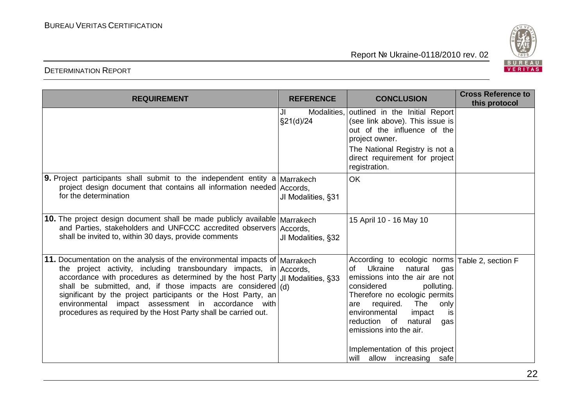

| <b>REQUIREMENT</b>                                                                                                                                                                                                                                                                                                                                                                                                                                                                              | <b>REFERENCE</b>               | <b>CONCLUSION</b>                                                                                                                                                                                                                                                                                                                                                                 | <b>Cross Reference to</b><br>this protocol |
|-------------------------------------------------------------------------------------------------------------------------------------------------------------------------------------------------------------------------------------------------------------------------------------------------------------------------------------------------------------------------------------------------------------------------------------------------------------------------------------------------|--------------------------------|-----------------------------------------------------------------------------------------------------------------------------------------------------------------------------------------------------------------------------------------------------------------------------------------------------------------------------------------------------------------------------------|--------------------------------------------|
|                                                                                                                                                                                                                                                                                                                                                                                                                                                                                                 | Modalities,<br>JI<br>§21(d)/24 | outlined in the Initial Report<br>(see link above). This issue is<br>out of the influence of the<br>project owner.<br>The National Registry is not a<br>direct requirement for project<br>registration.                                                                                                                                                                           |                                            |
| <b>9.</b> Project participants shall submit to the independent entity a Marrakech<br>project design document that contains all information needed Accords,<br>for the determination                                                                                                                                                                                                                                                                                                             | JI Modalities, §31             | <b>OK</b>                                                                                                                                                                                                                                                                                                                                                                         |                                            |
| 10. The project design document shall be made publicly available Marrakech<br>and Parties, stakeholders and UNFCCC accredited observers Accords,<br>shall be invited to, within 30 days, provide comments                                                                                                                                                                                                                                                                                       | JI Modalities, §32             | 15 April 10 - 16 May 10                                                                                                                                                                                                                                                                                                                                                           |                                            |
| 11. Documentation on the analysis of the environmental impacts of Marrakech<br>the project activity, including transboundary impacts, in Accords,<br>accordance with procedures as determined by the host Party   JI Modalities, §33<br>shall be submitted, and, if those impacts are considered $(d)$<br>significant by the project participants or the Host Party, an<br>environmental impact assessment in accordance with<br>procedures as required by the Host Party shall be carried out. |                                | According to ecologic norms Table 2, section F<br>Ukraine<br>natural<br>of<br>gas<br>emissions into the air are not<br>considered<br>polluting.<br>Therefore no ecologic permits<br>The<br>required.<br>only<br>are<br>environmental<br>impact<br>is<br>reduction of<br>natural<br>gas<br>emissions into the air.<br>Implementation of this project<br>will allow increasing safe |                                            |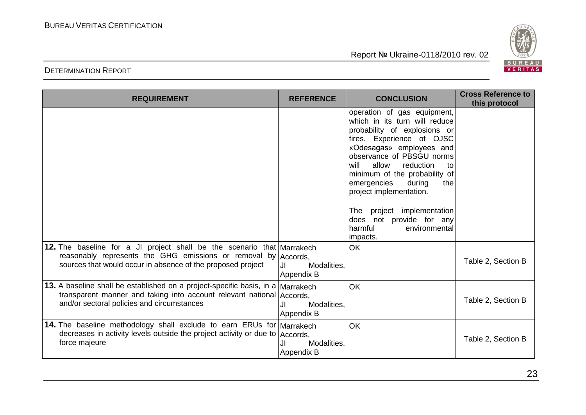

| <b>DETERMINATION REPORT</b> |  |
|-----------------------------|--|
|-----------------------------|--|

| <b>REQUIREMENT</b>                                                                                                                                                                                      | <b>REFERENCE</b>                | <b>CONCLUSION</b>                                                                                                                                                                                                                                                                                                                                                                                                       | <b>Cross Reference to</b><br>this protocol |
|---------------------------------------------------------------------------------------------------------------------------------------------------------------------------------------------------------|---------------------------------|-------------------------------------------------------------------------------------------------------------------------------------------------------------------------------------------------------------------------------------------------------------------------------------------------------------------------------------------------------------------------------------------------------------------------|--------------------------------------------|
|                                                                                                                                                                                                         |                                 | operation of gas equipment,<br>which in its turn will reduce<br>probability of explosions or<br>fires. Experience of OJSC<br>«Odesagas» employees and<br>observance of PBSGU norms<br>allow<br>reduction<br>will<br>to<br>minimum of the probability of<br>emergencies<br>during<br>the<br>project implementation.<br>project implementation<br>The<br>does not provide for any<br>harmful<br>environmental<br>impacts. |                                            |
| 12. The baseline for a JI project shall be the scenario that Marrakech<br>reasonably represents the GHG emissions or removal by Accords,<br>sources that would occur in absence of the proposed project | Modalities,<br>JI<br>Appendix B | <b>OK</b>                                                                                                                                                                                                                                                                                                                                                                                                               | Table 2, Section B                         |
| 13. A baseline shall be established on a project-specific basis, in a Marrakech<br>transparent manner and taking into account relevant national Accords,<br>and/or sectoral policies and circumstances  | JI<br>Modalities,<br>Appendix B | OK                                                                                                                                                                                                                                                                                                                                                                                                                      | Table 2, Section B                         |
| 14. The baseline methodology shall exclude to earn ERUs for Marrakech<br>decreases in activity levels outside the project activity or due to   Accords,<br>force majeure                                | JI<br>Modalities.<br>Appendix B | OK                                                                                                                                                                                                                                                                                                                                                                                                                      | Table 2, Section B                         |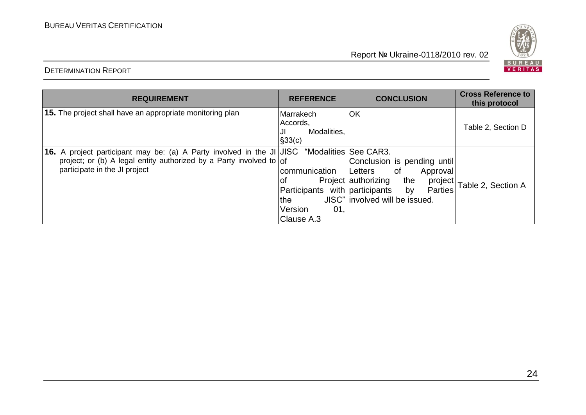

| <b>REQUIREMENT</b>                                                                                                                                                                                  | <b>REFERENCE</b>                                                                               | <b>CONCLUSION</b>                                                                                                                                | <b>Cross Reference to</b><br>this protocol |
|-----------------------------------------------------------------------------------------------------------------------------------------------------------------------------------------------------|------------------------------------------------------------------------------------------------|--------------------------------------------------------------------------------------------------------------------------------------------------|--------------------------------------------|
| <b>15.</b> The project shall have an appropriate monitoring plan                                                                                                                                    | Marrakech<br>Accords,<br>Modalities.<br>JI<br>$\vert$ §33(c)                                   | OK                                                                                                                                               | Table 2, Section D                         |
| 16. A project participant may be: (a) A Party involved in the JI JJSC "Modalities See CAR3.<br>project; or (b) A legal entity authorized by a Party involved to of<br>participate in the JI project | communication<br>οf<br>Participants with participants<br>l the<br>Version<br>01,<br>Clause A.3 | Conclusion is pending until<br>Letters<br>0f<br>Approval<br>Project authorizing<br>the<br>by<br><b>Parties</b><br>JISC" involved will be issued. | project Table 2, Section A                 |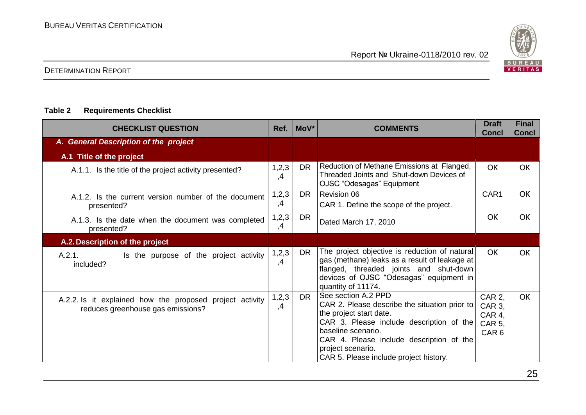

#### **Table 2 Requirements Checklist**

| <b>CHECKLIST QUESTION</b>                                                                     | Ref.        | MoV*      | <b>COMMENTS</b>                                                                                                                                                                                                                                                              | <b>Draft</b><br><b>Concl</b>                                    | <b>Final</b><br><b>Concl</b> |
|-----------------------------------------------------------------------------------------------|-------------|-----------|------------------------------------------------------------------------------------------------------------------------------------------------------------------------------------------------------------------------------------------------------------------------------|-----------------------------------------------------------------|------------------------------|
| A. General Description of the project                                                         |             |           |                                                                                                                                                                                                                                                                              |                                                                 |                              |
| A.1 Title of the project                                                                      |             |           |                                                                                                                                                                                                                                                                              |                                                                 |                              |
| A.1.1. Is the title of the project activity presented?                                        | 1,2,3<br>,4 | <b>DR</b> | Reduction of Methane Emissions at Flanged,<br>Threaded Joints and Shut-down Devices of<br>OJSC "Odesagas" Equipment                                                                                                                                                          | <b>OK</b>                                                       | <b>OK</b>                    |
| A.1.2. Is the current version number of the document<br>presented?                            | 1,2,3<br>,4 | <b>DR</b> | Revision 06<br>CAR 1. Define the scope of the project.                                                                                                                                                                                                                       | CAR1                                                            | <b>OK</b>                    |
| A.1.3. Is the date when the document was completed<br>presented?                              | 1,2,3<br>,4 | <b>DR</b> | Dated March 17, 2010                                                                                                                                                                                                                                                         | <b>OK</b>                                                       | <b>OK</b>                    |
| A.2. Description of the project                                                               |             |           |                                                                                                                                                                                                                                                                              |                                                                 |                              |
| A.2.1.<br>Is the purpose of the project activity<br>included?                                 | 1,2,3<br>,4 | <b>DR</b> | The project objective is reduction of natural<br>gas (methane) leaks as a result of leakage at<br>flanged, threaded joints and shut-down<br>devices of OJSC "Odesagas" equipment in<br>quantity of 11174.                                                                    | <b>OK</b>                                                       | <b>OK</b>                    |
| A.2.2. Is it explained how the proposed project activity<br>reduces greenhouse gas emissions? | 1,2,3<br>,4 | DR.       | See section A.2 PPD<br>CAR 2. Please describe the situation prior to<br>the project start date.<br>CAR 3. Please include description of the<br>baseline scenario.<br>CAR 4. Please include description of the<br>project scenario.<br>CAR 5. Please include project history. | <b>CAR 2,</b><br>CAR 3,<br>CAR 4,<br>CAR 5,<br>CAR <sub>6</sub> | <b>OK</b>                    |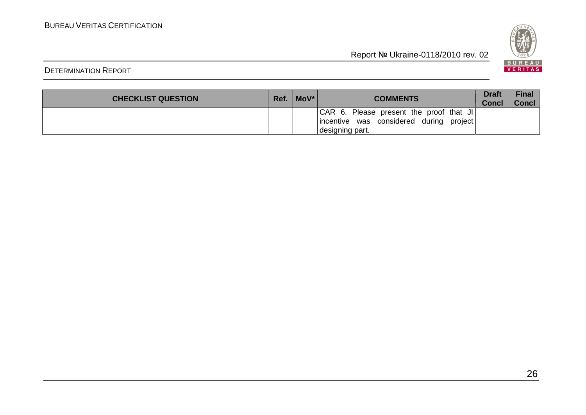

| <b>CHECKLIST QUESTION</b> | Ref. | $Mov^*$ | <b>COMMENTS</b>                                                                                          | Draft<br><b>Concl</b> | <b>Final</b><br><b>Concl</b> |
|---------------------------|------|---------|----------------------------------------------------------------------------------------------------------|-----------------------|------------------------------|
|                           |      |         | CAR 6. Please present the proof that JI<br>incentive was considered during<br>project<br>designing part. |                       |                              |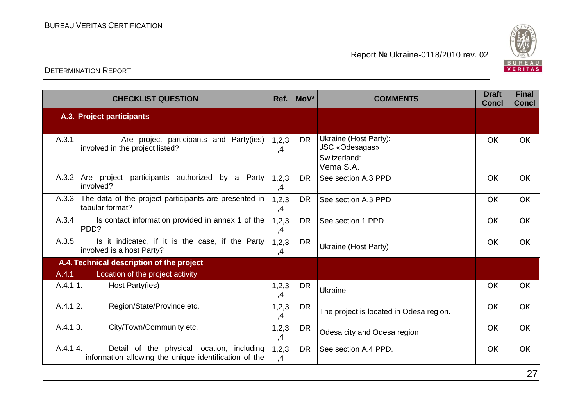

| <b>CHECKLIST QUESTION</b>                                                                                       | Ref.          | MoV*      | <b>COMMENTS</b>                                                      | <b>Draft</b><br><b>Concl</b> | <b>Final</b><br><b>Concl</b> |
|-----------------------------------------------------------------------------------------------------------------|---------------|-----------|----------------------------------------------------------------------|------------------------------|------------------------------|
| A.3. Project participants                                                                                       |               |           |                                                                      |                              |                              |
| A.3.1.<br>Are project participants and Party(ies)<br>involved in the project listed?                            | 1,2,3<br>,4   | <b>DR</b> | Ukraine (Host Party):<br>JSC «Odesagas»<br>Switzerland:<br>Vema S.A. | OK                           | OK                           |
| A.3.2. Are project participants authorized by a Party<br>involved?                                              | 1,2,3<br>,4   | <b>DR</b> | See section A.3 PPD                                                  | OK                           | <b>OK</b>                    |
| A.3.3. The data of the project participants are presented in<br>tabular format?                                 | 1,2,3<br>,4   | <b>DR</b> | See section A.3 PPD                                                  | OK                           | OK                           |
| Is contact information provided in annex 1 of the<br>A.3.4.<br>PDD?                                             | 1,2,3<br>,4   | <b>DR</b> | See section 1 PPD                                                    | OK                           | <b>OK</b>                    |
| Is it indicated, if it is the case, if the Party<br>A.3.5.<br>involved is a host Party?                         | 1, 2, 3<br>,4 | DR        | Ukraine (Host Party)                                                 | <b>OK</b>                    | <b>OK</b>                    |
| A.4. Technical description of the project                                                                       |               |           |                                                                      |                              |                              |
| A.4.1.<br>Location of the project activity                                                                      |               |           |                                                                      |                              |                              |
| A.4.1.1.<br>Host Party(ies)                                                                                     | 1,2,3<br>,4   | <b>DR</b> | Ukraine                                                              | OK                           | OK                           |
| A.4.1.2.<br>Region/State/Province etc.                                                                          | 1,2,3<br>,4   | <b>DR</b> | The project is located in Odesa region.                              | OK                           | <b>OK</b>                    |
| A.4.1.3.<br>City/Town/Community etc.                                                                            | 1,2,3<br>,4   | <b>DR</b> | Odesa city and Odesa region                                          | <b>OK</b>                    | <b>OK</b>                    |
| A.4.1.4.<br>Detail of the physical location, including<br>information allowing the unique identification of the | 1, 2, 3<br>,4 | <b>DR</b> | See section A.4 PPD.                                                 | OK                           | <b>OK</b>                    |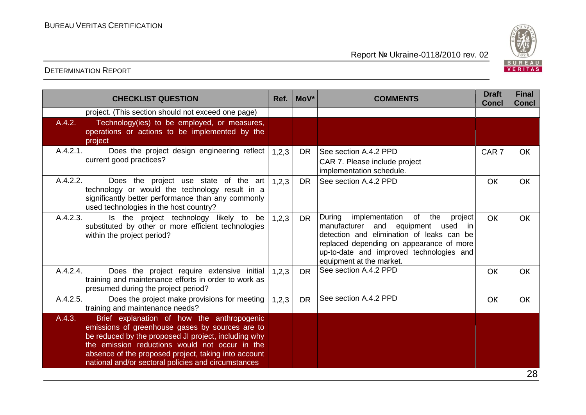

|          | <b>CHECKLIST QUESTION</b>                                                                                                                                                                                                                                                                                              | Ref.  | MoV*      | <b>COMMENTS</b>                                                                                                                                                                                                                                                       | <b>Draft</b><br><b>Concl</b> | <b>Final</b><br><b>Concl</b> |
|----------|------------------------------------------------------------------------------------------------------------------------------------------------------------------------------------------------------------------------------------------------------------------------------------------------------------------------|-------|-----------|-----------------------------------------------------------------------------------------------------------------------------------------------------------------------------------------------------------------------------------------------------------------------|------------------------------|------------------------------|
|          | project. (This section should not exceed one page)                                                                                                                                                                                                                                                                     |       |           |                                                                                                                                                                                                                                                                       |                              |                              |
| A.4.2.   | Technology(ies) to be employed, or measures,<br>operations or actions to be implemented by the<br>project                                                                                                                                                                                                              |       |           |                                                                                                                                                                                                                                                                       |                              |                              |
| A.4.2.1. | Does the project design engineering reflect<br>current good practices?                                                                                                                                                                                                                                                 | 1,2,3 | DR.       | See section A.4.2 PPD<br>CAR 7. Please include project<br>implementation schedule.                                                                                                                                                                                    | CAR <sub>7</sub>             | OK                           |
| A.4.2.2. | Does the project use state of the art<br>technology or would the technology result in a<br>significantly better performance than any commonly<br>used technologies in the host country?                                                                                                                                | 1,2,3 | DR.       | See section A.4.2 PPD                                                                                                                                                                                                                                                 | OK                           | <b>OK</b>                    |
| A.4.2.3. | Is the project technology likely to be<br>substituted by other or more efficient technologies<br>within the project period?                                                                                                                                                                                            | 1,2,3 | <b>DR</b> | During<br>implementation<br>of<br>the<br>project<br>manufacturer<br>and<br>equipment<br>used<br>- in<br>detection and elimination of leaks can be<br>replaced depending on appearance of more<br>up-to-date and improved technologies and<br>equipment at the market. | <b>OK</b>                    | <b>OK</b>                    |
| A.4.2.4. | Does the project require extensive initial<br>training and maintenance efforts in order to work as<br>presumed during the project period?                                                                                                                                                                              | 1,2,3 | <b>DR</b> | See section A.4.2 PPD                                                                                                                                                                                                                                                 | OK                           | OK                           |
| A.4.2.5. | Does the project make provisions for meeting<br>training and maintenance needs?                                                                                                                                                                                                                                        | 1,2,3 | <b>DR</b> | See section A.4.2 PPD                                                                                                                                                                                                                                                 | OK                           | OK                           |
| A.4.3.   | Brief explanation of how the anthropogenic<br>emissions of greenhouse gases by sources are to<br>be reduced by the proposed JI project, including why<br>the emission reductions would not occur in the<br>absence of the proposed project, taking into account<br>national and/or sectoral policies and circumstances |       |           |                                                                                                                                                                                                                                                                       |                              |                              |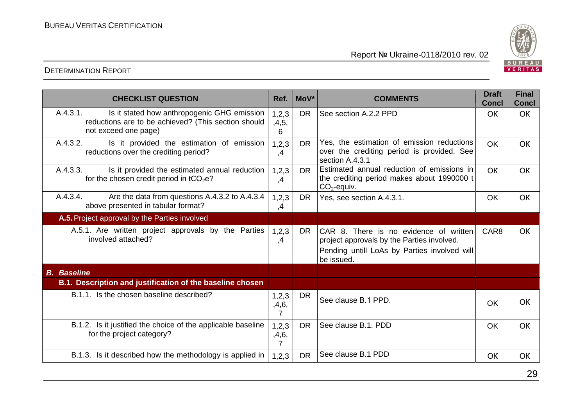

#### DETERMINATION REPORT

| <b>CHECKLIST QUESTION</b>                                                                                                              | Ref.                | MoV*      | <b>COMMENTS</b>                                                                                                                                    | <b>Draft</b><br><b>Concl</b> | <b>Final</b><br><b>Concl</b> |
|----------------------------------------------------------------------------------------------------------------------------------------|---------------------|-----------|----------------------------------------------------------------------------------------------------------------------------------------------------|------------------------------|------------------------------|
| A.4.3.1.<br>Is it stated how anthropogenic GHG emission<br>reductions are to be achieved? (This section should<br>not exceed one page) | 1,2,3<br>,4,5,<br>6 | <b>DR</b> | See section A.2.2 PPD                                                                                                                              | <b>OK</b>                    | <b>OK</b>                    |
| A.4.3.2.<br>Is it provided the estimation of emission<br>reductions over the crediting period?                                         | 1, 2, 3<br>,4       | <b>DR</b> | Yes, the estimation of emission reductions<br>over the crediting period is provided. See<br>section A.4.3.1                                        | <b>OK</b>                    | <b>OK</b>                    |
| A.4.3.3.<br>Is it provided the estimated annual reduction<br>for the chosen credit period in $tCO2e$ ?                                 | 1,2,3<br>,4         | DR.       | Estimated annual reduction of emissions in<br>the crediting period makes about 1990000 t<br>$CO2$ -equiv.                                          | <b>OK</b>                    | <b>OK</b>                    |
| Are the data from questions A.4.3.2 to A.4.3.4<br>A.4.3.4.<br>above presented in tabular format?                                       | 1,2,3<br>,4         | <b>DR</b> | Yes, see section A.4.3.1.                                                                                                                          | <b>OK</b>                    | <b>OK</b>                    |
| A.5. Project approval by the Parties involved                                                                                          |                     |           |                                                                                                                                                    |                              |                              |
| A.5.1. Are written project approvals by the Parties<br>involved attached?                                                              | 1,2,3<br>,4         | <b>DR</b> | CAR 8. There is no evidence of written<br>project approvals by the Parties involved.<br>Pending untill LoAs by Parties involved will<br>be issued. | CAR <sub>8</sub>             | <b>OK</b>                    |
| <b>B.</b> Baseline                                                                                                                     |                     |           |                                                                                                                                                    |                              |                              |
| B.1. Description and justification of the baseline chosen                                                                              |                     |           |                                                                                                                                                    |                              |                              |
| B.1.1. Is the chosen baseline described?                                                                                               | 1,2,3<br>,4,6,<br>7 | <b>DR</b> | See clause B.1 PPD.                                                                                                                                | <b>OK</b>                    | <b>OK</b>                    |
| B.1.2. Is it justified the choice of the applicable baseline<br>for the project category?                                              | 1,2,3<br>,4,6,<br>7 | <b>DR</b> | See clause B.1. PDD                                                                                                                                | <b>OK</b>                    | <b>OK</b>                    |
| B.1.3. Is it described how the methodology is applied in                                                                               | 1,2,3               | <b>DR</b> | See clause B.1 PDD                                                                                                                                 | OK                           | <b>OK</b>                    |

29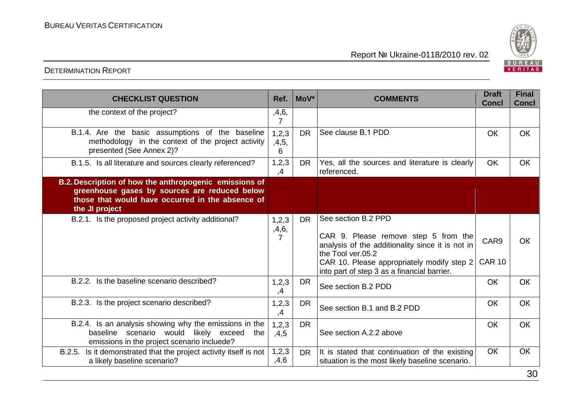

| <b>CHECKLIST QUESTION</b>                                                                                                                                                     | Ref.                  | $Mov^*$   | <b>COMMENTS</b>                                                                                                                                                                                                                   | <b>Draft</b><br><b>Concl</b>      | <b>Final</b><br><b>Concl</b> |
|-------------------------------------------------------------------------------------------------------------------------------------------------------------------------------|-----------------------|-----------|-----------------------------------------------------------------------------------------------------------------------------------------------------------------------------------------------------------------------------------|-----------------------------------|------------------------------|
| the context of the project?                                                                                                                                                   | ,4,6,<br>7            |           |                                                                                                                                                                                                                                   |                                   |                              |
| B.1.4. Are the basic assumptions of the baseline<br>methodology in the context of the project activity<br>presented (See Annex 2)?                                            | 1,2,3<br>,4,5,<br>6   | DR.       | See clause B.1 PDD                                                                                                                                                                                                                | OK                                | <b>OK</b>                    |
| B.1.5. Is all literature and sources clearly referenced?                                                                                                                      | 1,2,3<br>,4           | <b>DR</b> | Yes, all the sources and literature is clearly<br>referenced.                                                                                                                                                                     | <b>OK</b>                         | <b>OK</b>                    |
| B.2. Description of how the anthropogenic emissions of<br>greenhouse gases by sources are reduced below<br>those that would have occurred in the absence of<br>the JI project |                       |           |                                                                                                                                                                                                                                   |                                   |                              |
| B.2.1. Is the proposed project activity additional?                                                                                                                           | 1, 2, 3<br>,4,6,<br>7 | <b>DR</b> | See section B.2 PPD<br>CAR 9. Please remove step 5 from the<br>analysis of the additionality since it is not in<br>the Tool ver.05.2<br>CAR 10. Please appropriately modify step 2<br>into part of step 3 as a financial barrier. | CAR <sub>9</sub><br><b>CAR 10</b> | <b>OK</b>                    |
| B.2.2. Is the baseline scenario described?                                                                                                                                    | 1,2,3<br>,4           | <b>DR</b> | See section B.2 PDD                                                                                                                                                                                                               | <b>OK</b>                         | <b>OK</b>                    |
| B.2.3. Is the project scenario described?                                                                                                                                     | 1, 2, 3<br>,4         | <b>DR</b> | See section B.1 and B.2 PDD                                                                                                                                                                                                       | <b>OK</b>                         | <b>OK</b>                    |
| B.2.4. Is an analysis showing why the emissions in the<br>baseline scenario would likely exceed the<br>emissions in the project scenario incluede?                            | 1,2,3<br>,4,5         | <b>DR</b> | See section A.2.2 above                                                                                                                                                                                                           | <b>OK</b>                         | <b>OK</b>                    |
| Is it demonstrated that the project activity itself is not<br>B.2.5.<br>a likely baseline scenario?                                                                           | 1, 2, 3<br>,4,6       | DR.       | It is stated that continuation of the existing<br>situation is the most likely baseline scenario.                                                                                                                                 | <b>OK</b>                         | <b>OK</b>                    |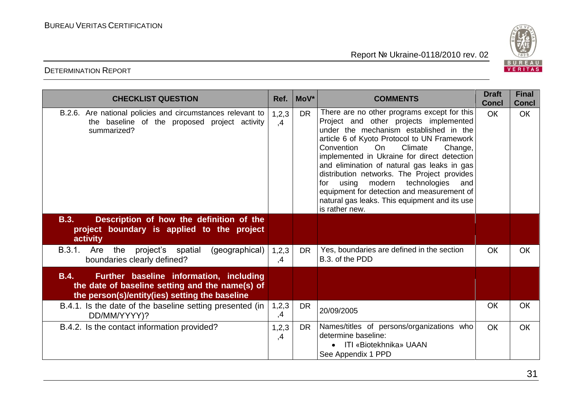

| <b>CHECKLIST QUESTION</b>                                                                                                                            | Ref.        | MoV*      | <b>COMMENTS</b>                                                                                                                                                                                                                                                                                                                                                                                                                                                                                                                   | <b>Draft</b><br><b>Concl</b> | <b>Final</b><br><b>Concl</b> |
|------------------------------------------------------------------------------------------------------------------------------------------------------|-------------|-----------|-----------------------------------------------------------------------------------------------------------------------------------------------------------------------------------------------------------------------------------------------------------------------------------------------------------------------------------------------------------------------------------------------------------------------------------------------------------------------------------------------------------------------------------|------------------------------|------------------------------|
| B.2.6. Are national policies and circumstances relevant to<br>the baseline of the proposed project activity<br>summarized?                           | 1,2,3<br>,4 | <b>DR</b> | There are no other programs except for this<br>Project and other projects implemented<br>under the mechanism established in the<br>article 6 of Kyoto Protocol to UN Framework<br>Convention<br>On<br>Climate<br>Change,<br>implemented in Ukraine for direct detection<br>and elimination of natural gas leaks in gas<br>distribution networks. The Project provides<br>using modern technologies<br>and<br>for<br>equipment for detection and measurement of<br>natural gas leaks. This equipment and its use<br>is rather new. | <b>OK</b>                    | <b>OK</b>                    |
| <b>B.3.</b><br>Description of how the definition of the<br>project boundary is applied to the project<br>activity                                    |             |           |                                                                                                                                                                                                                                                                                                                                                                                                                                                                                                                                   |                              |                              |
| (geographical)<br>B.3.1.<br>Are<br>the<br>project's spatial<br>boundaries clearly defined?                                                           | 1,2,3<br>,4 | <b>DR</b> | Yes, boundaries are defined in the section<br>B.3. of the PDD                                                                                                                                                                                                                                                                                                                                                                                                                                                                     | <b>OK</b>                    | <b>OK</b>                    |
| B.4.<br>Further baseline information, including<br>the date of baseline setting and the name(s) of<br>the person(s)/entity(ies) setting the baseline |             |           |                                                                                                                                                                                                                                                                                                                                                                                                                                                                                                                                   |                              |                              |
| B.4.1. Is the date of the baseline setting presented (in<br>DD/MM/YYYY)?                                                                             | 1,2,3<br>,4 | <b>DR</b> | 20/09/2005                                                                                                                                                                                                                                                                                                                                                                                                                                                                                                                        | OK                           | OK                           |
| B.4.2. Is the contact information provided?                                                                                                          | 1,2,3<br>,4 | <b>DR</b> | Names/titles of persons/organizations who<br>determine baseline:<br>• ITI «Biotekhnika» UAAN<br>See Appendix 1 PPD                                                                                                                                                                                                                                                                                                                                                                                                                | <b>OK</b>                    | <b>OK</b>                    |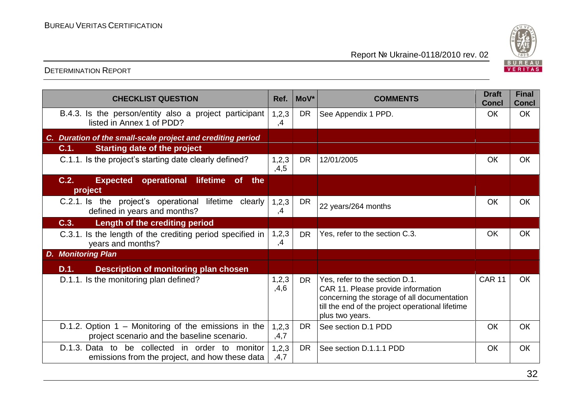

| <b>CHECKLIST QUESTION</b>                                                                             | Ref.            | MoV*      | <b>COMMENTS</b>                                                                                                                                                                            | <b>Draft</b><br><b>Concl</b> | <b>Final</b><br><b>Concl</b> |
|-------------------------------------------------------------------------------------------------------|-----------------|-----------|--------------------------------------------------------------------------------------------------------------------------------------------------------------------------------------------|------------------------------|------------------------------|
| B.4.3. Is the person/entity also a project participant<br>listed in Annex 1 of PDD?                   | 1, 2, 3<br>,4   | <b>DR</b> | See Appendix 1 PPD.                                                                                                                                                                        | OK                           | <b>OK</b>                    |
| C. Duration of the small-scale project and crediting period                                           |                 |           |                                                                                                                                                                                            |                              |                              |
| <b>Starting date of the project</b><br>C.1.                                                           |                 |           |                                                                                                                                                                                            |                              |                              |
| C.1.1. Is the project's starting date clearly defined?                                                | 1,2,3<br>,4,5   | <b>DR</b> | 12/01/2005                                                                                                                                                                                 | OK                           | OK                           |
| C.2.<br><b>Expected operational</b><br>lifetime<br>of<br>the<br>project                               |                 |           |                                                                                                                                                                                            |                              |                              |
| C.2.1. Is the project's operational lifetime clearly<br>defined in years and months?                  | 1, 2, 3<br>,4   | <b>DR</b> | 22 years/264 months                                                                                                                                                                        | OK                           | OK                           |
| C.3.<br>Length of the crediting period                                                                |                 |           |                                                                                                                                                                                            |                              |                              |
| C.3.1. Is the length of the crediting period specified in<br>years and months?                        | 1,2,3<br>,4     | <b>DR</b> | Yes, refer to the section C.3.                                                                                                                                                             | <b>OK</b>                    | OK                           |
| <b>Monitoring Plan</b><br>D.                                                                          |                 |           |                                                                                                                                                                                            |                              |                              |
| D.1.<br><b>Description of monitoring plan chosen</b>                                                  |                 |           |                                                                                                                                                                                            |                              |                              |
| D.1.1. Is the monitoring plan defined?                                                                | 1, 2, 3<br>,4,6 | DR.       | Yes, refer to the section D.1.<br>CAR 11. Please provide information<br>concerning the storage of all documentation<br>till the end of the project operational lifetime<br>plus two years. | <b>CAR 11</b>                | <b>OK</b>                    |
| D.1.2. Option $1$ – Monitoring of the emissions in the<br>project scenario and the baseline scenario. | 1,2,3<br>,4,7   | <b>DR</b> | See section D.1 PDD                                                                                                                                                                        | OK                           | <b>OK</b>                    |
| D.1.3. Data to be collected in order to monitor<br>emissions from the project, and how these data     | 1, 2, 3<br>,4,7 | <b>DR</b> | See section D.1.1.1 PDD                                                                                                                                                                    | <b>OK</b>                    | <b>OK</b>                    |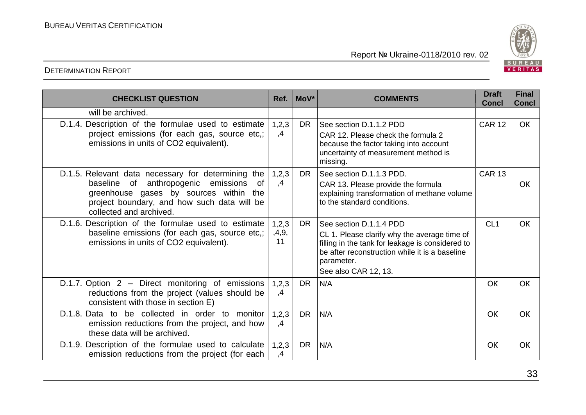

| <b>CHECKLIST QUESTION</b>                                                                                                                                                                                                    | Ref.                 | $Mov^*$   | <b>COMMENTS</b>                                                                                                                                                                                                     |                 | <b>Final</b><br><b>Concl</b> |
|------------------------------------------------------------------------------------------------------------------------------------------------------------------------------------------------------------------------------|----------------------|-----------|---------------------------------------------------------------------------------------------------------------------------------------------------------------------------------------------------------------------|-----------------|------------------------------|
| will be archived.                                                                                                                                                                                                            |                      |           |                                                                                                                                                                                                                     |                 |                              |
| D.1.4. Description of the formulae used to estimate<br>project emissions (for each gas, source etc.;<br>emissions in units of CO2 equivalent).                                                                               | 1,2,3<br>,4          | DR.       | See section D.1.1.2 PDD<br>CAR 12. Please check the formula 2<br>because the factor taking into account<br>uncertainty of measurement method is<br>missing.                                                         | <b>CAR 12</b>   | <b>OK</b>                    |
| D.1.5. Relevant data necessary for determining the<br>anthropogenic emissions<br>baseline<br>of<br>0f<br>greenhouse gases by sources within<br>the<br>project boundary, and how such data will be<br>collected and archived. | 1,2,3<br>,4          | DR.       | See section D.1.1.3 PDD.<br>CAR 13. Please provide the formula<br>explaining transformation of methane volume<br>to the standard conditions.                                                                        | <b>CAR 13</b>   | <b>OK</b>                    |
| D.1.6. Description of the formulae used to estimate<br>baseline emissions (for each gas, source etc,;<br>emissions in units of CO2 equivalent).                                                                              | 1,2,3<br>,4,9,<br>11 | <b>DR</b> | See section D.1.1.4 PDD<br>CL 1. Please clarify why the average time of<br>filling in the tank for leakage is considered to<br>be after reconstruction while it is a baseline<br>parameter.<br>See also CAR 12, 13. | CL <sub>1</sub> | <b>OK</b>                    |
| D.1.7. Option 2 - Direct monitoring of emissions<br>reductions from the project (values should be<br>consistent with those in section E)                                                                                     | 1,2,3<br>,4          | DR.       | N/A                                                                                                                                                                                                                 | <b>OK</b>       | <b>OK</b>                    |
| D.1.8. Data to be collected in order to monitor<br>emission reductions from the project, and how<br>these data will be archived.                                                                                             | 1,2,3<br>,4          | <b>DR</b> | N/A                                                                                                                                                                                                                 | <b>OK</b>       | <b>OK</b>                    |
| D.1.9. Description of the formulae used to calculate<br>emission reductions from the project (for each                                                                                                                       | 1,2,3<br>,4          | <b>DR</b> | N/A                                                                                                                                                                                                                 | <b>OK</b>       | <b>OK</b>                    |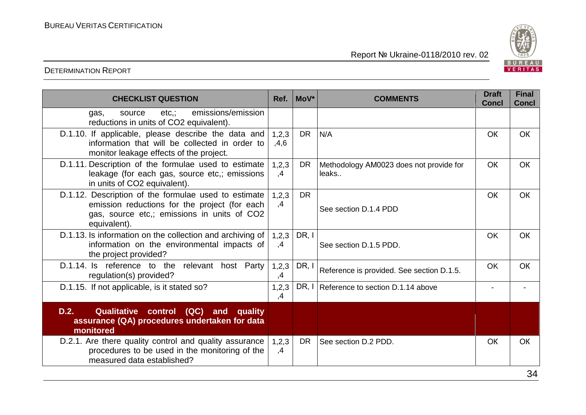

| <b>CHECKLIST QUESTION</b>                                                                                                                                            | Ref.                                                                   | MoV*                               | <b>COMMENTS</b>                           | <b>Draft</b><br><b>Concl</b> | <b>Final</b><br><b>Concl</b> |
|----------------------------------------------------------------------------------------------------------------------------------------------------------------------|------------------------------------------------------------------------|------------------------------------|-------------------------------------------|------------------------------|------------------------------|
| emissions/emission<br>etc.;<br>source<br>gas,<br>reductions in units of CO2 equivalent).                                                                             |                                                                        |                                    |                                           |                              |                              |
| D.1.10. If applicable, please describe the data and<br>information that will be collected in order to<br>monitor leakage effects of the project.                     | 1,2,3<br>,4,6                                                          | DR.                                | N/A                                       | <b>OK</b>                    | <b>OK</b>                    |
| D.1.11. Description of the formulae used to estimate<br>leakage (for each gas, source etc,; emissions<br>in units of CO2 equivalent).                                | 1,2,3<br>DR.<br>Methodology AM0023 does not provide for<br>,4<br>leaks |                                    | <b>OK</b>                                 | <b>OK</b>                    |                              |
| D.1.12. Description of the formulae used to estimate<br>emission reductions for the project (for each<br>gas, source etc.; emissions in units of CO2<br>equivalent). | 1,2,3<br>,4                                                            | <b>DR</b><br>See section D.1.4 PDD |                                           | OK                           | <b>OK</b>                    |
| D.1.13. Is information on the collection and archiving of<br>information on the environmental impacts of<br>the project provided?                                    | 1,2,3<br>,4                                                            | DR, I                              | See section D.1.5 PDD.                    | <b>OK</b>                    | <b>OK</b>                    |
| D.1.14. Is reference to the relevant host Party<br>regulation(s) provided?                                                                                           | 1,2,3<br>,4                                                            | DR, I                              | Reference is provided. See section D.1.5. | OK                           | <b>OK</b>                    |
| D.1.15. If not applicable, is it stated so?                                                                                                                          | 1,2,3<br>,4                                                            |                                    | DR, I Reference to section D.1.14 above   |                              |                              |
| D.2.<br>Qualitative control (QC) and quality<br>assurance (QA) procedures undertaken for data<br>monitored                                                           |                                                                        |                                    |                                           |                              |                              |
| D.2.1. Are there quality control and quality assurance<br>procedures to be used in the monitoring of the<br>measured data established?                               | 1,2,3<br>,4                                                            | DR.                                | See section D.2 PDD.                      | <b>OK</b>                    | <b>OK</b>                    |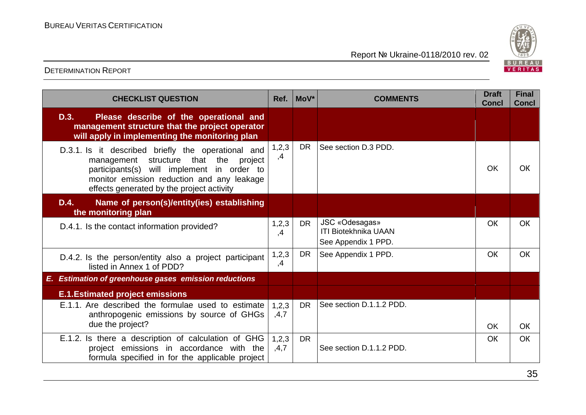

| <b>CHECKLIST QUESTION</b>                                                                                                                                                                                                                     |               | MoV*      | <b>COMMENTS</b>                                                      | <b>Draft</b><br><b>Concl</b> | <b>Final</b><br><b>Concl</b> |
|-----------------------------------------------------------------------------------------------------------------------------------------------------------------------------------------------------------------------------------------------|---------------|-----------|----------------------------------------------------------------------|------------------------------|------------------------------|
| D.3.<br>Please describe of the operational and<br>management structure that the project operator<br>will apply in implementing the monitoring plan                                                                                            |               |           |                                                                      |                              |                              |
| D.3.1. Is it described briefly the operational and<br>structure that the<br>management<br>project<br>participants(s) will implement<br>in order to<br>monitor emission reduction and any leakage<br>effects generated by the project activity | 1,2,3<br>,4   | <b>DR</b> | See section D.3 PDD.                                                 | <b>OK</b>                    | <b>OK</b>                    |
| D.4.<br>Name of person(s)/entity(ies) establishing<br>the monitoring plan                                                                                                                                                                     |               |           |                                                                      |                              |                              |
| D.4.1. Is the contact information provided?                                                                                                                                                                                                   | 1,2,3<br>,4   | <b>DR</b> | JSC «Odesagas»<br><b>ITI Biotekhnika UAAN</b><br>See Appendix 1 PPD. | OK                           | <b>OK</b>                    |
| D.4.2. Is the person/entity also a project participant<br>listed in Annex 1 of PDD?                                                                                                                                                           | 1,2,3<br>,4   | <b>DR</b> | See Appendix 1 PPD.                                                  | OK                           | <b>OK</b>                    |
| E. Estimation of greenhouse gases emission reductions                                                                                                                                                                                         |               |           |                                                                      |                              |                              |
| <b>E.1. Estimated project emissions</b>                                                                                                                                                                                                       |               |           |                                                                      |                              |                              |
| E.1.1. Are described the formulae used to estimate<br>anthropogenic emissions by source of GHGs<br>due the project?                                                                                                                           | 1,2,3<br>,4,7 | <b>DR</b> | See section D.1.1.2 PDD.                                             | <b>OK</b>                    | <b>OK</b>                    |
| E.1.2. Is there a description of calculation of GHG<br>project emissions in accordance with the<br>formula specified in for the applicable project                                                                                            | 1,2,3<br>,4,7 | <b>DR</b> | See section D.1.1.2 PDD.                                             | <b>OK</b>                    | <b>OK</b>                    |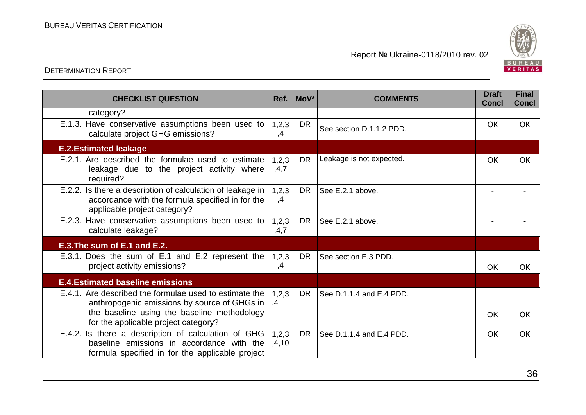

| <b>CHECKLIST QUESTION</b>                                                                                                                                                                     | Ref.           | MoV*      | <b>COMMENTS</b>          | <b>Draft</b><br><b>Concl</b> | <b>Final</b><br><b>Concl</b> |
|-----------------------------------------------------------------------------------------------------------------------------------------------------------------------------------------------|----------------|-----------|--------------------------|------------------------------|------------------------------|
| category?                                                                                                                                                                                     |                |           |                          |                              |                              |
| E.1.3. Have conservative assumptions been used to<br>calculate project GHG emissions?                                                                                                         | 1,2,3<br>,4    | <b>DR</b> | See section D.1.1.2 PDD. | <b>OK</b>                    | <b>OK</b>                    |
| <b>E.2. Estimated leakage</b>                                                                                                                                                                 |                |           |                          |                              |                              |
| E.2.1. Are described the formulae used to estimate<br>leakage due to the project activity where<br>required?                                                                                  | 1,2,3<br>,4,7  | <b>DR</b> | Leakage is not expected. | OK                           | OK                           |
| E.2.2. Is there a description of calculation of leakage in<br>accordance with the formula specified in for the<br>applicable project category?                                                | 1,2,3<br>,4    | <b>DR</b> | See E.2.1 above.         | $\blacksquare$               |                              |
| E.2.3. Have conservative assumptions been used to<br>calculate leakage?                                                                                                                       | 1,2,3<br>,4,7  | <b>DR</b> | See E.2.1 above.         |                              |                              |
| E.3. The sum of E.1 and E.2.                                                                                                                                                                  |                |           |                          |                              |                              |
| E.3.1. Does the sum of E.1 and E.2 represent the<br>project activity emissions?                                                                                                               | 1,2,3<br>,4    | <b>DR</b> | See section E.3 PDD.     | OK                           | <b>OK</b>                    |
| <b>E.4. Estimated baseline emissions</b>                                                                                                                                                      |                |           |                          |                              |                              |
| E.4.1. Are described the formulae used to estimate the<br>anthropogenic emissions by source of GHGs in<br>the baseline using the baseline methodology<br>for the applicable project category? | 1,2,3<br>,4    | <b>DR</b> | See D.1.1.4 and E.4 PDD. | <b>OK</b>                    | OK                           |
| E.4.2. Is there a description of calculation of GHG<br>baseline emissions in accordance with the<br>formula specified in for the applicable project                                           | 1,2,3<br>,4,10 | <b>DR</b> | See D.1.1.4 and E.4 PDD. | <b>OK</b>                    | <b>OK</b>                    |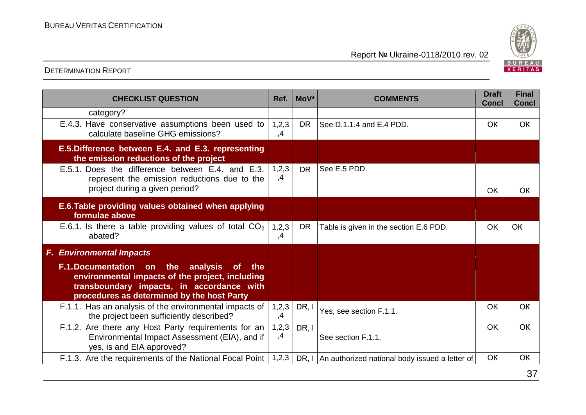

| <b>CHECKLIST QUESTION</b>                                                                                                                                                                                        | Ref.        | $MoV^*$   | <b>COMMENTS</b>                                      | <b>Draft</b><br><b>Concl</b> | <b>Final</b><br><b>Concl</b> |
|------------------------------------------------------------------------------------------------------------------------------------------------------------------------------------------------------------------|-------------|-----------|------------------------------------------------------|------------------------------|------------------------------|
| category?                                                                                                                                                                                                        |             |           |                                                      |                              |                              |
| E.4.3. Have conservative assumptions been used to<br>calculate baseline GHG emissions?                                                                                                                           | 1,2,3<br>,4 | <b>DR</b> | See D.1.1.4 and E.4 PDD.                             | OK.                          | <b>OK</b>                    |
| E.5. Difference between E.4. and E.3. representing<br>the emission reductions of the project                                                                                                                     |             |           |                                                      |                              |                              |
| E.5.1. Does the difference between E.4. and E.3.<br>represent the emission reductions due to the<br>project during a given period?                                                                               |             | <b>DR</b> | See E.5 PDD.                                         | <b>OK</b>                    | OK                           |
| E.6. Table providing values obtained when applying<br>formulae above                                                                                                                                             |             |           |                                                      |                              |                              |
| E.6.1. Is there a table providing values of total $CO2$<br>abated?                                                                                                                                               | 1,2,3<br>,4 | <b>DR</b> | Table is given in the section E.6 PDD.               | OK                           | <b>OK</b>                    |
| <b>F. Environmental Impacts</b>                                                                                                                                                                                  |             |           |                                                      |                              |                              |
| the<br><b>F.1.Documentation on</b><br>analysis<br><b>of</b><br>the<br>environmental impacts of the project, including<br>transboundary impacts, in accordance with<br>procedures as determined by the host Party |             |           |                                                      |                              |                              |
| F.1.1. Has an analysis of the environmental impacts of<br>the project been sufficiently described?                                                                                                               | 1,2,3<br>,4 | DR, I     | Yes, see section F.1.1.                              | <b>OK</b>                    | OK                           |
| F.1.2. Are there any Host Party requirements for an<br>Environmental Impact Assessment (EIA), and if<br>yes, is and EIA approved?                                                                                | 1,2,3<br>,4 | DR, I     | See section F.1.1.                                   | <b>OK</b>                    | OK                           |
| F.1.3. Are the requirements of the National Focal Point                                                                                                                                                          | 1,2,3       |           | DR, I An authorized national body issued a letter of | <b>OK</b>                    | OK                           |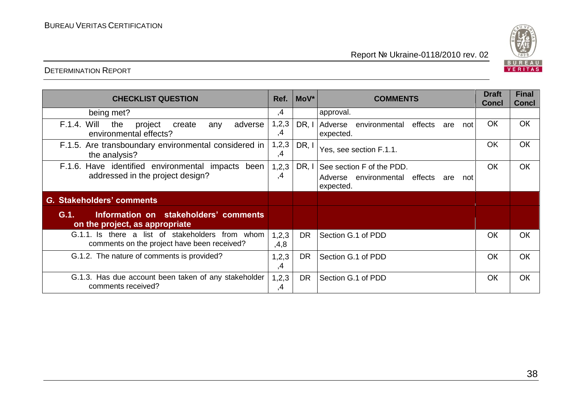



| <b>CHECKLIST QUESTION</b>                                                                       | Ref.          | $ $ MoV*  | <b>COMMENTS</b>                                                                       | <b>Draft</b><br><b>Concl</b> | <b>Final</b><br><b>Concl</b> |
|-------------------------------------------------------------------------------------------------|---------------|-----------|---------------------------------------------------------------------------------------|------------------------------|------------------------------|
| being met?                                                                                      | ,4            |           | approval.                                                                             |                              |                              |
| <b>F.1.4. Will</b><br>the<br>adverse<br>project<br>create<br>any<br>environmental effects?      | 1, 2, 3<br>,4 | DR, I     | Adverse<br>environmental<br>effects<br>are<br>not<br>expected.                        | OK                           | OK                           |
| F.1.5. Are transboundary environmental considered in<br>the analysis?                           |               | DR, I     | Yes, see section F.1.1.                                                               | OK                           | OK                           |
| F.1.6. Have identified environmental impacts been<br>addressed in the project design?           | 1,2,3<br>,4   | DR, I     | See section F of the PDD.<br>Adverse environmental effects<br>are<br>not<br>expected. | <b>OK</b>                    | OK                           |
| G. Stakeholders' comments                                                                       |               |           |                                                                                       |                              |                              |
| Information on stakeholders' comments<br>G.1.<br>on the project, as appropriate                 |               |           |                                                                                       |                              |                              |
| G.1.1. Is there a list of stakeholders from whom<br>comments on the project have been received? | 1,2,3<br>,4,8 | <b>DR</b> | Section G.1 of PDD                                                                    | OK                           | OK                           |
| G.1.2. The nature of comments is provided?                                                      | 1,2,3<br>,4   | <b>DR</b> | Section G.1 of PDD                                                                    | <b>OK</b>                    | OK                           |
| G.1.3. Has due account been taken of any stakeholder<br>comments received?                      | 1,2,3<br>,4   | <b>DR</b> | Section G.1 of PDD                                                                    | <b>OK</b>                    | OK                           |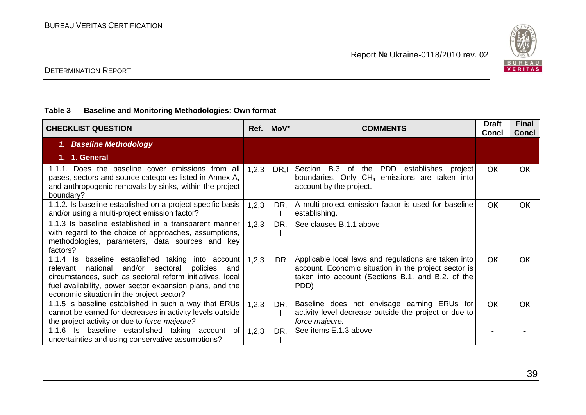

#### **Table 3 Baseline and Monitoring Methodologies: Own format**

| <b>CHECKLIST QUESTION</b>                                                                                                                                                                                                                                                                     | Ref.    | MoV*      | <b>COMMENTS</b>                                                                                                                                                           | <b>Draft</b><br><b>Concl</b> | <b>Final</b><br><b>Concl</b> |
|-----------------------------------------------------------------------------------------------------------------------------------------------------------------------------------------------------------------------------------------------------------------------------------------------|---------|-----------|---------------------------------------------------------------------------------------------------------------------------------------------------------------------------|------------------------------|------------------------------|
| 1. Baseline Methodology                                                                                                                                                                                                                                                                       |         |           |                                                                                                                                                                           |                              |                              |
| 1. 1. General                                                                                                                                                                                                                                                                                 |         |           |                                                                                                                                                                           |                              |                              |
| 1.1.1. Does the baseline cover emissions from all<br>gases, sectors and source categories listed in Annex A,<br>and anthropogenic removals by sinks, within the project<br>boundary?                                                                                                          | 1,2,3   | DR.I      | the PDD establishes<br>B.3 of<br>Section<br>project<br>boundaries. Only $CH_4$ emissions are taken into<br>account by the project.                                        | <b>OK</b>                    | OK                           |
| 1.1.2. Is baseline established on a project-specific basis<br>and/or using a multi-project emission factor?                                                                                                                                                                                   | 1,2,3   | DR,       | A multi-project emission factor is used for baseline<br>establishing.                                                                                                     | <b>OK</b>                    | <b>OK</b>                    |
| 1.1.3 Is baseline established in a transparent manner<br>with regard to the choice of approaches, assumptions,<br>methodologies, parameters, data sources and key<br>factors?                                                                                                                 | 1,2,3   | DR,       | See clauses B.1.1 above                                                                                                                                                   |                              |                              |
| $1.1.4$ Is<br>baseline established taking<br>into account<br>and/or sectoral<br>national<br>policies<br>relevant<br>and<br>circumstances, such as sectoral reform initiatives, local<br>fuel availability, power sector expansion plans, and the<br>economic situation in the project sector? | 1, 2, 3 | <b>DR</b> | Applicable local laws and regulations are taken into<br>account. Economic situation in the project sector is<br>taken into account (Sections B.1. and B.2. of the<br>PDD) | <b>OK</b>                    | <b>OK</b>                    |
| 1.1.5 Is baseline established in such a way that ERUs<br>cannot be earned for decreases in activity levels outside<br>the project activity or due to force majeure?                                                                                                                           | 1,2,3   | DR,       | Baseline does not envisage earning ERUs for<br>activity level decrease outside the project or due to<br>force majeure.                                                    | <b>OK</b>                    | <b>OK</b>                    |
| Is baseline established taking account of<br>1.1.6<br>uncertainties and using conservative assumptions?                                                                                                                                                                                       | 1, 2, 3 | DR,       | See items E.1.3 above                                                                                                                                                     |                              |                              |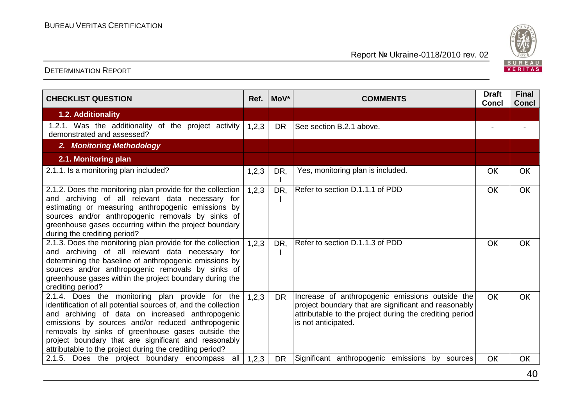

| <b>CHECKLIST QUESTION</b>                                                                                                                                                                                                                                                                                                                                                                           | Ref.  | $Mov^*$   | <b>COMMENTS</b>                                                                                                                                                                           | <b>Draft</b><br><b>Concl</b> | <b>Final</b><br><b>Concl</b> |
|-----------------------------------------------------------------------------------------------------------------------------------------------------------------------------------------------------------------------------------------------------------------------------------------------------------------------------------------------------------------------------------------------------|-------|-----------|-------------------------------------------------------------------------------------------------------------------------------------------------------------------------------------------|------------------------------|------------------------------|
| 1.2. Additionality                                                                                                                                                                                                                                                                                                                                                                                  |       |           |                                                                                                                                                                                           |                              |                              |
| 1.2.1. Was the additionality of the project activity<br>demonstrated and assessed?                                                                                                                                                                                                                                                                                                                  | 1,2,3 | <b>DR</b> | See section B.2.1 above.                                                                                                                                                                  |                              |                              |
| 2. Monitoring Methodology                                                                                                                                                                                                                                                                                                                                                                           |       |           |                                                                                                                                                                                           |                              |                              |
| 2.1. Monitoring plan                                                                                                                                                                                                                                                                                                                                                                                |       |           |                                                                                                                                                                                           |                              |                              |
| 2.1.1. Is a monitoring plan included?                                                                                                                                                                                                                                                                                                                                                               | 1,2,3 | DR,       | Yes, monitoring plan is included.                                                                                                                                                         | OK                           | OK                           |
| 2.1.2. Does the monitoring plan provide for the collection<br>and archiving of all relevant data necessary for<br>estimating or measuring anthropogenic emissions by<br>sources and/or anthropogenic removals by sinks of<br>greenhouse gases occurring within the project boundary<br>during the crediting period?                                                                                 | 1,2,3 | DR,       | Refer to section D.1.1.1 of PDD                                                                                                                                                           | OK                           | OK                           |
| 2.1.3. Does the monitoring plan provide for the collection<br>and archiving of all relevant data necessary for<br>determining the baseline of anthropogenic emissions by<br>sources and/or anthropogenic removals by sinks of<br>greenhouse gases within the project boundary during the<br>crediting period?                                                                                       | 1,2,3 | DR,       | Refer to section D.1.1.3 of PDD                                                                                                                                                           | OK                           | OK                           |
| 2.1.4. Does the monitoring plan provide for the<br>identification of all potential sources of, and the collection<br>and archiving of data on increased anthropogenic<br>emissions by sources and/or reduced anthropogenic<br>removals by sinks of greenhouse gases outside the<br>project boundary that are significant and reasonably<br>attributable to the project during the crediting period? | 1,2,3 | <b>DR</b> | Increase of anthropogenic emissions outside the<br>project boundary that are significant and reasonably<br>attributable to the project during the crediting period<br>is not anticipated. | <b>OK</b>                    | <b>OK</b>                    |
| 2.1.5. Does the project boundary encompass<br>all                                                                                                                                                                                                                                                                                                                                                   | 1,2,3 | <b>DR</b> | Significant anthropogenic emissions by sources                                                                                                                                            | OK                           | OК                           |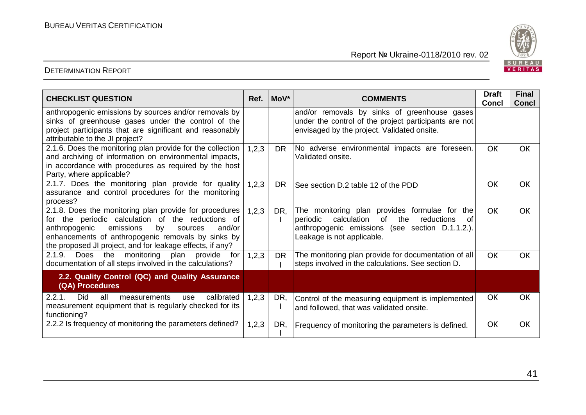

| <b>CHECKLIST QUESTION</b>                                                                                                                                                                                                                                                               | Ref.  | $Mov^*$        | <b>COMMENTS</b>                                                                                                                                                                            | <b>Draft</b><br><b>Concl</b> | <b>Final</b><br><b>Concl</b> |
|-----------------------------------------------------------------------------------------------------------------------------------------------------------------------------------------------------------------------------------------------------------------------------------------|-------|----------------|--------------------------------------------------------------------------------------------------------------------------------------------------------------------------------------------|------------------------------|------------------------------|
| anthropogenic emissions by sources and/or removals by<br>sinks of greenhouse gases under the control of the<br>project participants that are significant and reasonably<br>attributable to the JI project?                                                                              |       |                | and/or removals by sinks of greenhouse gases<br>under the control of the project participants are not<br>envisaged by the project. Validated onsite.                                       |                              |                              |
| 2.1.6. Does the monitoring plan provide for the collection<br>and archiving of information on environmental impacts,<br>in accordance with procedures as required by the host<br>Party, where applicable?                                                                               |       | DR.            | No adverse environmental impacts are foreseen.<br>Validated onsite.                                                                                                                        | <b>OK</b>                    | <b>OK</b>                    |
| 2.1.7. Does the monitoring plan provide for quality<br>assurance and control procedures for the monitoring<br>process?                                                                                                                                                                  |       | <b>DR</b>      | See section D.2 table 12 of the PDD                                                                                                                                                        | OK                           | OK                           |
| 2.1.8. Does the monitoring plan provide for procedures<br>for the periodic calculation of the reductions of<br>anthropogenic<br>emissions<br>by<br>sources<br>and/or<br>enhancements of anthropogenic removals by sinks by<br>the proposed JI project, and for leakage effects, if any? |       | 1, 2, 3<br>DR, | The monitoring plan provides formulae for the<br>calculation<br>of<br>the<br>periodic<br>reductions<br>0f<br>anthropogenic emissions (see section D.1.1.2.).<br>Leakage is not applicable. | <b>OK</b>                    | OK                           |
| 2.1.9.<br>Does the monitoring plan provide<br>for<br>documentation of all steps involved in the calculations?                                                                                                                                                                           | 1,2,3 | <b>DR</b>      | The monitoring plan provide for documentation of all<br>steps involved in the calculations. See section D.                                                                                 | <b>OK</b>                    | OK                           |
| 2.2. Quality Control (QC) and Quality Assurance<br>(QA) Procedures                                                                                                                                                                                                                      |       |                |                                                                                                                                                                                            |                              |                              |
| Did<br>calibrated<br>2.2.1.<br>all<br>measurements<br>use<br>measurement equipment that is regularly checked for its<br>functioning?                                                                                                                                                    | 1,2,3 | DR,            | Control of the measuring equipment is implemented<br>and followed, that was validated onsite.                                                                                              | OK                           | OK                           |
| 2.2.2 Is frequency of monitoring the parameters defined?                                                                                                                                                                                                                                | 1,2,3 | DR,            | Frequency of monitoring the parameters is defined.                                                                                                                                         | OK                           | OK                           |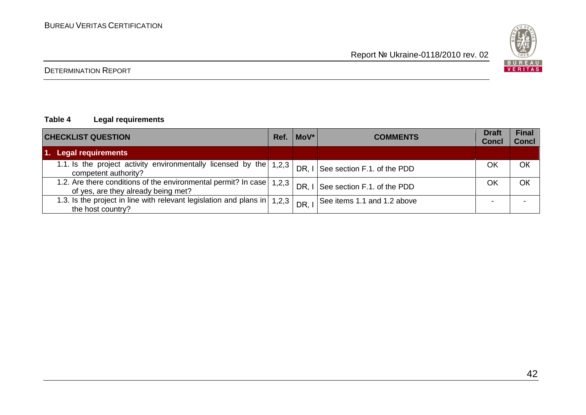

#### **Table 4 Legal requirements**

| <b>CHECKLIST QUESTION</b>                                                                             | MoV*<br><b>COMMENTS</b><br>Ref. |       |                             | <b>Draft</b><br><b>Concl</b> | <b>Final</b><br><b>Concl</b> |
|-------------------------------------------------------------------------------------------------------|---------------------------------|-------|-----------------------------|------------------------------|------------------------------|
| 1. Legal requirements                                                                                 |                                 |       |                             |                              |                              |
| 1.1. Is the project activity environmentally licensed by the<br>competent authority?                  | 1,2,3                           | DR. I | See section F.1. of the PDD | OK                           | OK                           |
| 1.2. Are there conditions of the environmental permit? In case<br>of yes, are they already being met? | 1,2,3                           | DR. I | See section F.1. of the PDD | OK                           | ОК                           |
| 1.3. Is the project in line with relevant legislation and plans in<br>the host country?               | 1,2,3                           | DR.   | See items 1.1 and 1.2 above | -                            |                              |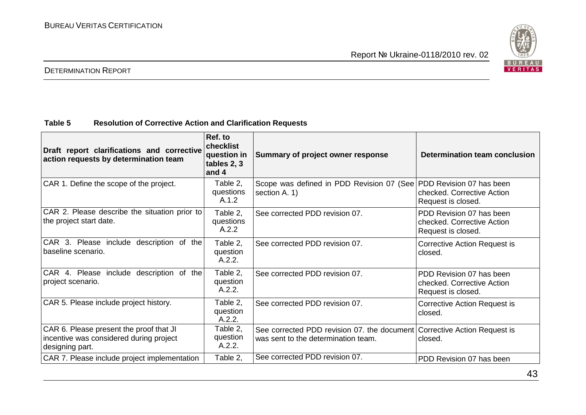

#### DETERMINATION REPORT

#### **Table 5 Resolution of Corrective Action and Clarification Requests**

| Draft report clarifications and corrective<br>action requests by determination team                   | Ref. to<br>checklist<br>question in<br>tables 2, 3<br>and 4 | Summary of project owner response                                                                               | Determination team conclusion                                                |
|-------------------------------------------------------------------------------------------------------|-------------------------------------------------------------|-----------------------------------------------------------------------------------------------------------------|------------------------------------------------------------------------------|
| CAR 1. Define the scope of the project.                                                               | Table 2,<br>questions<br>A.1.2                              | Scope was defined in PDD Revision 07 (See PDD Revision 07 has been<br>section A. 1)                             | checked. Corrective Action<br>Request is closed.                             |
| CAR 2. Please describe the situation prior to<br>the project start date.                              | Table 2,<br>questions<br>A.2.2                              | See corrected PDD revision 07.                                                                                  | PDD Revision 07 has been<br>checked. Corrective Action<br>Request is closed. |
| CAR 3. Please include description of the<br>baseline scenario.                                        | Table 2,<br>question<br>A.2.2.                              | See corrected PDD revision 07.                                                                                  | <b>Corrective Action Request is</b><br>closed.                               |
| CAR 4. Please include description of the<br>project scenario.                                         | Table 2,<br>question<br>A.2.2.                              | See corrected PDD revision 07.                                                                                  | PDD Revision 07 has been<br>checked. Corrective Action<br>Request is closed. |
| CAR 5. Please include project history.                                                                | Table 2,<br>question<br>A.2.2.                              | See corrected PDD revision 07.                                                                                  | Corrective Action Request is<br>closed.                                      |
| CAR 6. Please present the proof that JI<br>incentive was considered during project<br>designing part. | Table 2,<br>question<br>A.2.2.                              | See corrected PDD revision 07. the document Corrective Action Request is<br>was sent to the determination team. | closed.                                                                      |
| CAR 7. Please include project implementation                                                          | Table 2,                                                    | See corrected PDD revision 07.                                                                                  | PDD Revision 07 has been                                                     |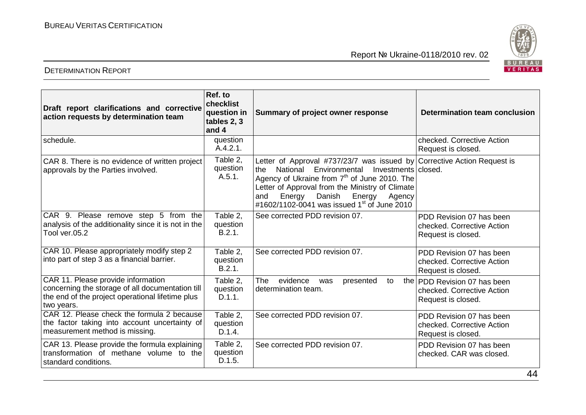



| Draft report clarifications and corrective<br>action requests by determination team                                                                      | Ref. to<br>checklist<br>question in<br>tables 2, 3<br>and 4 | Summary of project owner response                                                                                                                                                                                                                                                                                                                          | <b>Determination team conclusion</b>                                             |
|----------------------------------------------------------------------------------------------------------------------------------------------------------|-------------------------------------------------------------|------------------------------------------------------------------------------------------------------------------------------------------------------------------------------------------------------------------------------------------------------------------------------------------------------------------------------------------------------------|----------------------------------------------------------------------------------|
| schedule.                                                                                                                                                | question<br>A.4.2.1.                                        |                                                                                                                                                                                                                                                                                                                                                            | checked. Corrective Action<br>Request is closed.                                 |
| CAR 8. There is no evidence of written project<br>approvals by the Parties involved.                                                                     | Table 2,<br>question<br>A.5.1.                              | Letter of Approval #737/23/7 was issued by Corrective Action Request is<br>National Environmental<br>Investments   closed.<br>the<br>Agency of Ukraine from 7 <sup>th</sup> of June 2010. The<br>Letter of Approval from the Ministry of Climate<br>Energy<br>Energy<br>Danish<br>Agency<br>and<br>#1602/1102-0041 was issued 1 <sup>st</sup> of June 2010 |                                                                                  |
| CAR 9. Please remove step 5 from the<br>analysis of the additionality since it is not in the<br>Tool ver.05.2                                            | Table 2,<br>question<br>B.2.1.                              | See corrected PDD revision 07.                                                                                                                                                                                                                                                                                                                             | PDD Revision 07 has been<br>checked. Corrective Action<br>Request is closed.     |
| CAR 10. Please appropriately modify step 2<br>into part of step 3 as a financial barrier.                                                                | Table 2.<br>question<br>B.2.1.                              | See corrected PDD revision 07.                                                                                                                                                                                                                                                                                                                             | PDD Revision 07 has been<br>checked. Corrective Action<br>Request is closed.     |
| CAR 11. Please provide information<br>concerning the storage of all documentation till<br>the end of the project operational lifetime plus<br>two years. | Table 2.<br>question<br>D.1.1.                              | <b>The</b><br>evidence<br>was<br>presented<br>to<br>determination team.                                                                                                                                                                                                                                                                                    | the PDD Revision 07 has been<br>checked. Corrective Action<br>Request is closed. |
| CAR 12. Please check the formula 2 because<br>the factor taking into account uncertainty of<br>measurement method is missing.                            | Table 2,<br>question<br>D.1.4.                              | See corrected PDD revision 07.                                                                                                                                                                                                                                                                                                                             | PDD Revision 07 has been<br>checked. Corrective Action<br>Request is closed.     |
| CAR 13. Please provide the formula explaining<br>transformation of methane volume to the<br>standard conditions.                                         | Table 2.<br>question<br>D.1.5.                              | See corrected PDD revision 07.                                                                                                                                                                                                                                                                                                                             | PDD Revision 07 has been<br>checked. CAR was closed.<br>$\bm{A}$                 |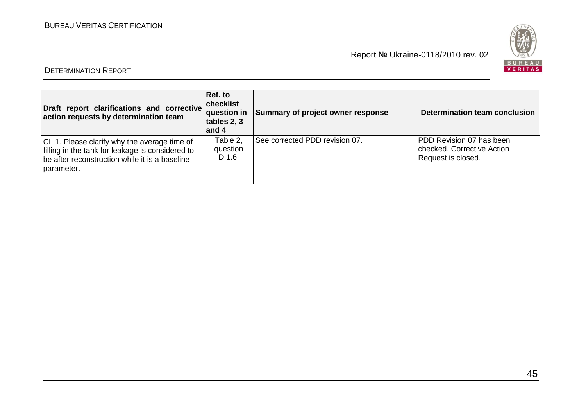

| Draft report clarifications and corrective<br>action requests by determination team                                                                              | Ref. to<br>checklist<br><b>question</b> in<br>tables 2, 3<br>and 4 | Summary of project owner response | Determination team conclusion                                                |
|------------------------------------------------------------------------------------------------------------------------------------------------------------------|--------------------------------------------------------------------|-----------------------------------|------------------------------------------------------------------------------|
| CL 1. Please clarify why the average time of<br>filling in the tank for leakage is considered to<br>be after reconstruction while it is a baseline<br>parameter. | Table 2,<br>question<br>D.1.6.                                     | See corrected PDD revision 07.    | PDD Revision 07 has been<br>checked. Corrective Action<br>Request is closed. |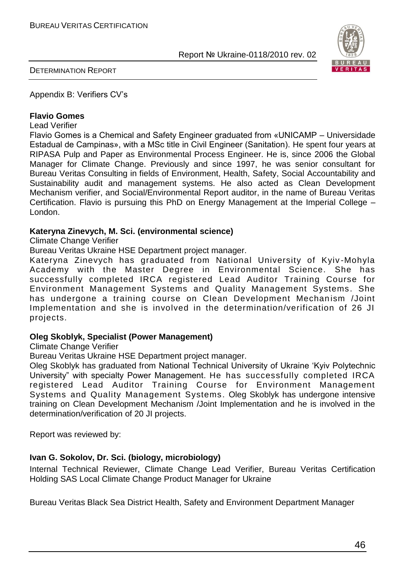

DETERMINATION REPORT

Appendix B: Verifiers CV"s

#### **Flavio Gomes**

Lead Verifier

Flavio Gomes is a Chemical and Safety Engineer graduated from «UNICAMP – Universidade Estadual de Campinas», with a MSc title in Civil Engineer (Sanitation). He spent four years at RIPASA Pulp and Paper as Environmental Process Engineer. He is, since 2006 the Global Manager for Climate Change. Previously and since 1997, he was senior consultant for Bureau Veritas Consulting in fields of Environment, Health, Safety, Social Accountability and Sustainability audit and management systems. He also acted as Clean Development Mechanism verifier, and Social/Environmental Report auditor, in the name of Bureau Veritas Certification. Flavio is pursuing this PhD on Energy Management at the Imperial College – London.

#### **Kateryna Zinevych, M. Sci. (environmental science)**

Climate Change Verifier

Bureau Veritas Ukraine HSE Department project manager.

Kateryna Zinevych has graduated from National University of Kyiv -Mohyla Academy with the Master Degree in Environmental Science. She has successfully completed IRCA registered Lead Auditor Training Course for Environment Management Systems and Quality Management Systems. She has undergone a training course on Clean Development Mechanism /Joint Implementation and she is involved in the determination/verification of 26 JI projects.

#### **Oleg Skoblyk, Specialist (Power Management)**

Climate Change Verifier

Bureau Veritas Ukraine HSE Department project manager.

Oleg Skoblyk has graduated from National Technical University of Ukraine "Kyiv Polytechnic University" with specialty Power Management. He has successfully completed IRCA registered Lead Auditor Training Course for Environment Management Systems and Quality Management Systems. Oleg Skoblyk has undergone intensive training on Clean Development Mechanism /Joint Implementation and he is involved in the determination/verification of 20 JI projects.

Report was reviewed by:

#### **Ivan G. Sokolov, Dr. Sci. (biology, microbiology)**

Internal Technical Reviewer, Climate Change Lead Verifier, Bureau Veritas Certification Holding SAS Local Climate Change Product Manager for Ukraine

Bureau Veritas Black Sea District Health, Safety and Environment Department Manager